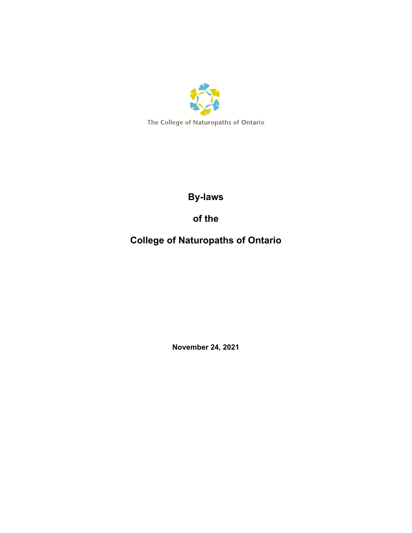

**By-laws**

**of the** 

**College of Naturopaths of Ontario**

**November 24, 2021**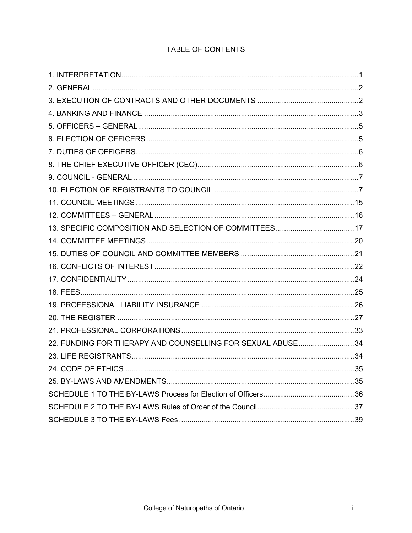# TABLE OF CONTENTS

| 22. FUNDING FOR THERAPY AND COUNSELLING FOR SEXUAL ABUSE34 |  |
|------------------------------------------------------------|--|
|                                                            |  |
|                                                            |  |
|                                                            |  |
|                                                            |  |
|                                                            |  |
|                                                            |  |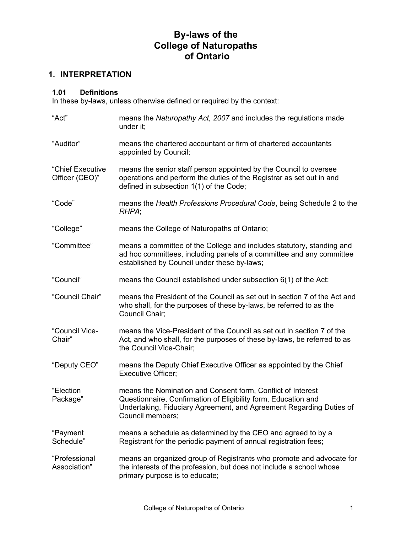# **By-laws of the College of Naturopaths of Ontario**

# <span id="page-2-0"></span>**1. INTERPRETATION**

### **1.01 Definitions**

In these by-laws, unless otherwise defined or required by the context:

| "Act"                              | means the Naturopathy Act, 2007 and includes the regulations made<br>under it;                                                                                                                                           |
|------------------------------------|--------------------------------------------------------------------------------------------------------------------------------------------------------------------------------------------------------------------------|
| "Auditor"                          | means the chartered accountant or firm of chartered accountants<br>appointed by Council;                                                                                                                                 |
| "Chief Executive<br>Officer (CEO)" | means the senior staff person appointed by the Council to oversee<br>operations and perform the duties of the Registrar as set out in and<br>defined in subsection 1(1) of the Code;                                     |
| "Code"                             | means the Health Professions Procedural Code, being Schedule 2 to the<br>RHPA;                                                                                                                                           |
| "College"                          | means the College of Naturopaths of Ontario;                                                                                                                                                                             |
| "Committee"                        | means a committee of the College and includes statutory, standing and<br>ad hoc committees, including panels of a committee and any committee<br>established by Council under these by-laws;                             |
| "Council"                          | means the Council established under subsection $6(1)$ of the Act;                                                                                                                                                        |
| "Council Chair"                    | means the President of the Council as set out in section 7 of the Act and<br>who shall, for the purposes of these by-laws, be referred to as the<br>Council Chair;                                                       |
| "Council Vice-<br>Chair"           | means the Vice-President of the Council as set out in section 7 of the<br>Act, and who shall, for the purposes of these by-laws, be referred to as<br>the Council Vice-Chair;                                            |
| "Deputy CEO"                       | means the Deputy Chief Executive Officer as appointed by the Chief<br><b>Executive Officer;</b>                                                                                                                          |
| "Election<br>Package"              | means the Nomination and Consent form, Conflict of Interest<br>Questionnaire, Confirmation of Eligibility form, Education and<br>Undertaking, Fiduciary Agreement, and Agreement Regarding Duties of<br>Council members; |
| "Payment<br>Schedule"              | means a schedule as determined by the CEO and agreed to by a<br>Registrant for the periodic payment of annual registration fees;                                                                                         |
| "Professional<br>Association"      | means an organized group of Registrants who promote and advocate for<br>the interests of the profession, but does not include a school whose<br>primary purpose is to educate;                                           |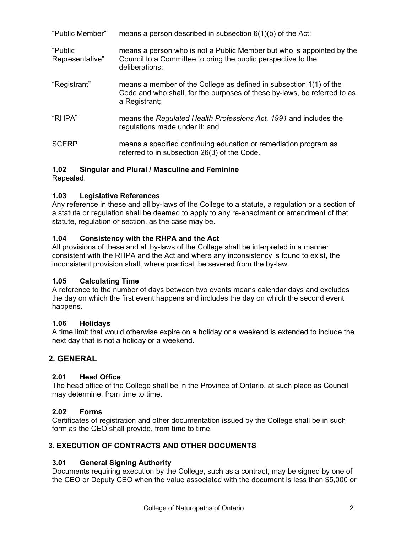| "Public Member"            | means a person described in subsection $6(1)(b)$ of the Act;                                                                                                    |
|----------------------------|-----------------------------------------------------------------------------------------------------------------------------------------------------------------|
| "Public<br>Representative" | means a person who is not a Public Member but who is appointed by the<br>Council to a Committee to bring the public perspective to the<br>deliberations;        |
| "Registrant"               | means a member of the College as defined in subsection 1(1) of the<br>Code and who shall, for the purposes of these by-laws, be referred to as<br>a Registrant; |
| "RHPA"                     | means the Regulated Health Professions Act, 1991 and includes the<br>regulations made under it; and                                                             |
| <b>SCERP</b>               | means a specified continuing education or remediation program as<br>referred to in subsection 26(3) of the Code.                                                |

### **1.02 Singular and Plural / Masculine and Feminine**

Repealed.

### **1.03 Legislative References**

Any reference in these and all by-laws of the College to a statute, a regulation or a section of a statute or regulation shall be deemed to apply to any re-enactment or amendment of that statute, regulation or section, as the case may be.

### **1.04 Consistency with the RHPA and the Act**

All provisions of these and all by-laws of the College shall be interpreted in a manner consistent with the RHPA and the Act and where any inconsistency is found to exist, the inconsistent provision shall, where practical, be severed from the by-law.

#### **1.05 Calculating Time**

A reference to the number of days between two events means calendar days and excludes the day on which the first event happens and includes the day on which the second event happens.

#### **1.06 Holidays**

A time limit that would otherwise expire on a holiday or a weekend is extended to include the next day that is not a holiday or a weekend.

# <span id="page-3-0"></span>**2. GENERAL**

# **2.01 Head Office**

The head office of the College shall be in the Province of Ontario, at such place as Council may determine, from time to time.

# **2.02 Forms**

Certificates of registration and other documentation issued by the College shall be in such form as the CEO shall provide, from time to time.

#### <span id="page-3-1"></span>**3. EXECUTION OF CONTRACTS AND OTHER DOCUMENTS**

# **3.01 General Signing Authority**

Documents requiring execution by the College, such as a contract, may be signed by one of the CEO or Deputy CEO when the value associated with the document is less than \$5,000 or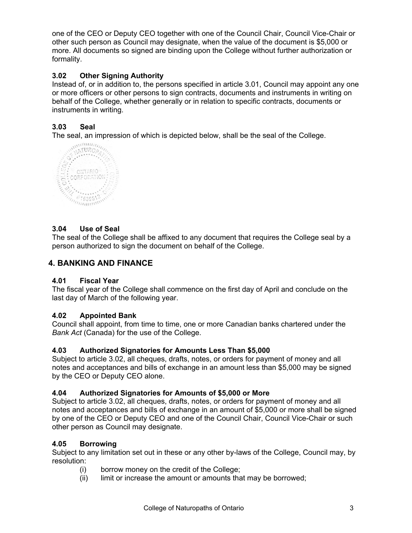one of the CEO or Deputy CEO together with one of the Council Chair, Council Vice-Chair or other such person as Council may designate, when the value of the document is \$5,000 or more. All documents so signed are binding upon the College without further authorization or formality.

# **3.02 Other Signing Authority**

Instead of, or in addition to, the persons specified in article 3.01, Council may appoint any one or more officers or other persons to sign contracts, documents and instruments in writing on behalf of the College, whether generally or in relation to specific contracts, documents or instruments in writing.

# **3.03 Seal**

The seal, an impression of which is depicted below, shall be the seal of the College.<br> $\frac{1}{2}$   $\frac{1}{2}$   $\frac{1}{2}$   $\frac{1}{2}$   $\frac{1}{2}$   $\frac{1}{2}$   $\frac{1}{2}$   $\frac{1}{2}$   $\frac{1}{2}$   $\frac{1}{2}$   $\frac{1}{2}$   $\frac{1}{2}$   $\frac{1}{2}$   $\frac{1$ 



# **3.04 Use of Seal**

The seal of the College shall be affixed to any document that requires the College seal by a person authorized to sign the document on behalf of the College.

# <span id="page-4-0"></span>**4. BANKING AND FINANCE**

#### **4.01 Fiscal Year**

The fiscal year of the College shall commence on the first day of April and conclude on the last day of March of the following year.

#### **4.02 Appointed Bank**

Council shall appoint, from time to time, one or more Canadian banks chartered under the *Bank Act* (Canada) for the use of the College.

#### **4.03 Authorized Signatories for Amounts Less Than \$5,000**

Subject to article 3.02, all cheques, drafts, notes, or orders for payment of money and all notes and acceptances and bills of exchange in an amount less than \$5,000 may be signed by the CEO or Deputy CEO alone.

# **4.04 Authorized Signatories for Amounts of \$5,000 or More**

Subject to article 3.02, all cheques, drafts, notes, or orders for payment of money and all notes and acceptances and bills of exchange in an amount of \$5,000 or more shall be signed by one of the CEO or Deputy CEO and one of the Council Chair, Council Vice-Chair or such other person as Council may designate.

#### **4.05 Borrowing**

Subject to any limitation set out in these or any other by-laws of the College, Council may, by resolution:

- (i) borrow money on the credit of the College;
- (ii) limit or increase the amount or amounts that may be borrowed;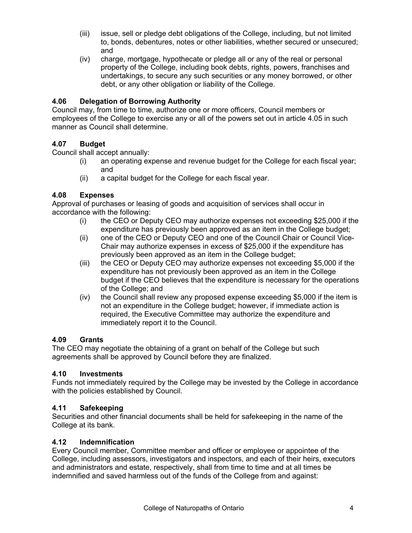- (iii) issue, sell or pledge debt obligations of the College, including, but not limited to, bonds, debentures, notes or other liabilities, whether secured or unsecured; and
- (iv) charge, mortgage, hypothecate or pledge all or any of the real or personal property of the College, including book debts, rights, powers, franchises and undertakings, to secure any such securities or any money borrowed, or other debt, or any other obligation or liability of the College.

### **4.06 Delegation of Borrowing Authority**

Council may, from time to time, authorize one or more officers, Council members or employees of the College to exercise any or all of the powers set out in article 4.05 in such manner as Council shall determine.

### **4.07 Budget**

Council shall accept annually:

- (i) an operating expense and revenue budget for the College for each fiscal year; and
- (ii) a capital budget for the College for each fiscal year.

#### **4.08 Expenses**

Approval of purchases or leasing of goods and acquisition of services shall occur in accordance with the following:

- (i) the CEO or Deputy CEO may authorize expenses not exceeding \$25,000 if the expenditure has previously been approved as an item in the College budget;
- (ii) one of the CEO or Deputy CEO and one of the Council Chair or Council Vice-Chair may authorize expenses in excess of \$25,000 if the expenditure has previously been approved as an item in the College budget;
- (iii) the CEO or Deputy CEO may authorize expenses not exceeding \$5,000 if the expenditure has not previously been approved as an item in the College budget if the CEO believes that the expenditure is necessary for the operations of the College; and
- (iv) the Council shall review any proposed expense exceeding \$5,000 if the item is not an expenditure in the College budget; however, if immediate action is required, the Executive Committee may authorize the expenditure and immediately report it to the Council.

#### **4.09 Grants**

The CEO may negotiate the obtaining of a grant on behalf of the College but such agreements shall be approved by Council before they are finalized.

### **4.10 Investments**

Funds not immediately required by the College may be invested by the College in accordance with the policies established by Council.

#### **4.11 Safekeeping**

Securities and other financial documents shall be held for safekeeping in the name of the College at its bank.

#### **4.12 Indemnification**

Every Council member, Committee member and officer or employee or appointee of the College, including assessors, investigators and inspectors, and each of their heirs, executors and administrators and estate, respectively, shall from time to time and at all times be indemnified and saved harmless out of the funds of the College from and against: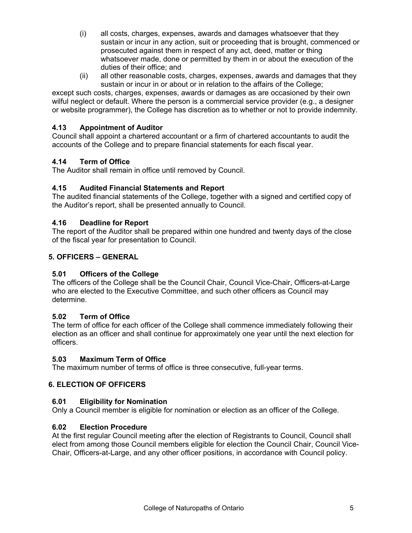- (i) all costs, charges, expenses, awards and damages whatsoever that they sustain or incur in any action, suit or proceeding that is brought, commenced or prosecuted against them in respect of any act, deed, matter or thing whatsoever made, done or permitted by them in or about the execution of the duties of their office; and
- (ii) all other reasonable costs, charges, expenses, awards and damages that they sustain or incur in or about or in relation to the affairs of the College;

except such costs, charges, expenses, awards or damages as are occasioned by their own wilful neglect or default. Where the person is a commercial service provider (e.g., a designer or website programmer), the College has discretion as to whether or not to provide indemnity.

### **4.13 Appointment of Auditor**

Council shall appoint a chartered accountant or a firm of chartered accountants to audit the accounts of the College and to prepare financial statements for each fiscal year.

### **4.14 Term of Office**

The Auditor shall remain in office until removed by Council.

### **4.15 Audited Financial Statements and Report**

The audited financial statements of the College, together with a signed and certified copy of the Auditor's report, shall be presented annually to Council.

### **4.16 Deadline for Report**

The report of the Auditor shall be prepared within one hundred and twenty days of the close of the fiscal year for presentation to Council.

### <span id="page-6-0"></span>**5. OFFICERS – GENERAL**

# **5.01 Officers of the College**

The officers of the College shall be the Council Chair, Council Vice-Chair, Officers-at-Large who are elected to the Executive Committee, and such other officers as Council may determine.

# **5.02 Term of Office**

The term of office for each officer of the College shall commence immediately following their election as an officer and shall continue for approximately one year until the next election for officers.

#### **5.03 Maximum Term of Office**

The maximum number of terms of office is three consecutive, full-year terms.

# <span id="page-6-1"></span>**6. ELECTION OF OFFICERS**

#### **6.01 Eligibility for Nomination**

Only a Council member is eligible for nomination or election as an officer of the College.

#### **6.02 Election Procedure**

At the first regular Council meeting after the election of Registrants to Council, Council shall elect from among those Council members eligible for election the Council Chair, Council Vice-Chair, Officers-at-Large, and any other officer positions, in accordance with Council policy.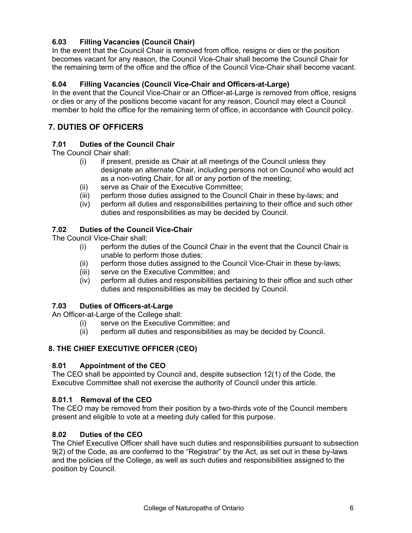# **6.03 Filling Vacancies (Council Chair)**

In the event that the Council Chair is removed from office, resigns or dies or the position becomes vacant for any reason, the Council Vice-Chair shall become the Council Chair for the remaining term of the office and the office of the Council Vice-Chair shall become vacant.

### **6.04 Filling Vacancies (Council Vice-Chair and Officers-at-Large)**

In the event that the Council Vice-Chair or an Officer-at-Large is removed from office, resigns or dies or any of the positions become vacant for any reason, Council may elect a Council member to hold the office for the remaining term of office, in accordance with Council policy.

# <span id="page-7-0"></span>**7. DUTIES OF OFFICERS**

#### **7.01 Duties of the Council Chair**

The Council Chair shall:

- (i) if present, preside as Chair at all meetings of the Council unless they designate an alternate Chair, including persons not on Council who would act as a non-voting Chair, for all or any portion of the meeting;
- (ii) serve as Chair of the Executive Committee;
- (iii) perform those duties assigned to the Council Chair in these by-laws; and
- (iv) perform all duties and responsibilities pertaining to their office and such other duties and responsibilities as may be decided by Council.

#### **7.02 Duties of the Council Vice-Chair**

The Council Vice-Chair shall:

- (i) perform the duties of the Council Chair in the event that the Council Chair is unable to perform those duties;
- (ii) perform those duties assigned to the Council Vice-Chair in these by-laws;
- (iii) serve on the Executive Committee; and
- (iv) perform all duties and responsibilities pertaining to their office and such other duties and responsibilities as may be decided by Council.

#### **7.03 Duties of Officers-at-Large**

An Officer-at-Large of the College shall:

- (i) serve on the Executive Committee; and
- (ii) perform all duties and responsibilities as may be decided by Council.

#### <span id="page-7-1"></span>**8. THE CHIEF EXECUTIVE OFFICER (CEO)**

#### **8.01 Appointment of the CEO**

The CEO shall be appointed by Council and, despite subsection 12(1) of the Code, the Executive Committee shall not exercise the authority of Council under this article.

#### **8.01.1 Removal of the CEO**

The CEO may be removed from their position by a two-thirds vote of the Council members present and eligible to vote at a meeting duly called for this purpose.

#### **8.02 Duties of the CEO**

The Chief Executive Officer shall have such duties and responsibilities pursuant to subsection 9(2) of the Code, as are conferred to the "Registrar" by the Act, as set out in these by-laws and the policies of the College, as well as such duties and responsibilities assigned to the position by Council.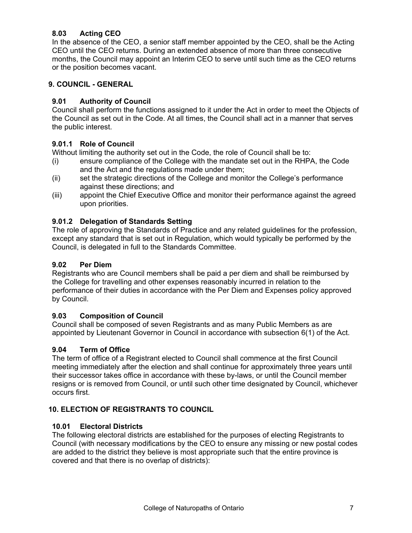# **8.03 Acting CEO**

In the absence of the CEO, a senior staff member appointed by the CEO, shall be the Acting CEO until the CEO returns. During an extended absence of more than three consecutive months, the Council may appoint an Interim CEO to serve until such time as the CEO returns or the position becomes vacant.

### <span id="page-8-0"></span>**9. COUNCIL - GENERAL**

### **9.01 Authority of Council**

Council shall perform the functions assigned to it under the Act in order to meet the Objects of the Council as set out in the Code. At all times, the Council shall act in a manner that serves the public interest.

### **9.01.1 Role of Council**

Without limiting the authority set out in the Code, the role of Council shall be to:

- (i) ensure compliance of the College with the mandate set out in the RHPA, the Code and the Act and the regulations made under them;
- (ii) set the strategic directions of the College and monitor the College's performance against these directions; and
- (iii) appoint the Chief Executive Office and monitor their performance against the agreed upon priorities.

#### **9.01.2 Delegation of Standards Setting**

The role of approving the Standards of Practice and any related guidelines for the profession, except any standard that is set out in Regulation, which would typically be performed by the Council, is delegated in full to the Standards Committee.

#### **9.02 Per Diem**

Registrants who are Council members shall be paid a per diem and shall be reimbursed by the College for travelling and other expenses reasonably incurred in relation to the performance of their duties in accordance with the Per Diem and Expenses policy approved by Council.

# **9.03 Composition of Council**

Council shall be composed of seven Registrants and as many Public Members as are appointed by Lieutenant Governor in Council in accordance with subsection 6(1) of the Act.

#### **9.04 Term of Office**

The term of office of a Registrant elected to Council shall commence at the first Council meeting immediately after the election and shall continue for approximately three years until their successor takes office in accordance with these by-laws, or until the Council member resigns or is removed from Council, or until such other time designated by Council, whichever occurs first.

# <span id="page-8-1"></span>**10. ELECTION OF REGISTRANTS TO COUNCIL**

#### **10.01 Electoral Districts**

The following electoral districts are established for the purposes of electing Registrants to Council (with necessary modifications by the CEO to ensure any missing or new postal codes are added to the district they believe is most appropriate such that the entire province is covered and that there is no overlap of districts):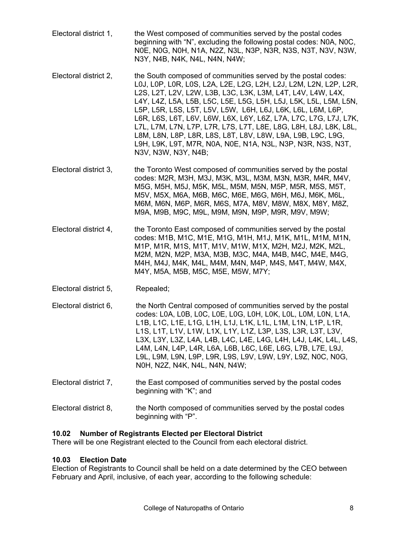- Electoral district 1, the West composed of communities served by the postal codes beginning with "N", excluding the following postal codes: N0A, N0C, N0E, N0G, N0H, N1A, N2Z, N3L, N3P, N3R, N3S, N3T, N3V, N3W, N3Y, N4B, N4K, N4L, N4N, N4W;
- Electoral district 2, the South composed of communities served by the postal codes: L0J, L0P, L0R, L0S, L2A, L2E, L2G, L2H, L2J, L2M, L2N, L2P, L2R, L2S, L2T, L2V, L2W, L3B, L3C, L3K, L3M, L4T, L4V, L4W, L4X, L4Y, L4Z, L5A, L5B, L5C, L5E, L5G, L5H, L5J, L5K, L5L, L5M, L5N, L5P, L5R, L5S, L5T, L5V, L5W, L6H, L6J, L6K, L6L, L6M, L6P, L6R, L6S, L6T, L6V, L6W, L6X, L6Y, L6Z, L7A, L7C, L7G, L7J, L7K, L7L, L7M, L7N, L7P, L7R, L7S, L7T, L8E, L8G, L8H, L8J, L8K, L8L, L8M, L8N, L8P, L8R, L8S, L8T, L8V, L8W, L9A, L9B, L9C, L9G, L9H, L9K, L9T, M7R, N0A, N0E, N1A, N3L, N3P, N3R, N3S, N3T, N3V, N3W, N3Y, N4B;
- Electoral district 3, the Toronto West composed of communities served by the postal codes: M2R, M3H, M3J, M3K, M3L, M3M, M3N, M3R, M4R, M4V, M5G, M5H, M5J, M5K, M5L, M5M, M5N, M5P, M5R, M5S, M5T, M5V, M5X, M6A, M6B, M6C, M6E, M6G, M6H, M6J, M6K, M6L, M6M, M6N, M6P, M6R, M6S, M7A, M8V, M8W, M8X, M8Y, M8Z, M9A, M9B, M9C, M9L, M9M, M9N, M9P, M9R, M9V, M9W;
- Electoral district 4, the Toronto East composed of communities served by the postal codes: M1B, M1C, M1E, M1G, M1H, M1J, M1K, M1L, M1M, M1N, M1P, M1R, M1S, M1T, M1V, M1W, M1X, M2H, M2J, M2K, M2L, M2M, M2N, M2P, M3A, M3B, M3C, M4A, M4B, M4C, M4E, M4G, M4H, M4J, M4K, M4L, M4M, M4N, M4P, M4S, M4T, M4W, M4X, M4Y, M5A, M5B, M5C, M5E, M5W, M7Y;
- Electoral district 5, Repealed;
- Electoral district 6, the North Central composed of communities served by the postal codes: L0A, L0B, L0C, L0E, L0G, L0H, L0K, L0L, L0M, L0N, L1A, L1B, L1C, L1E, L1G, L1H, L1J, L1K, L1L, L1M, L1N, L1P, L1R, L1S, L1T, L1V, L1W, L1X, L1Y, L1Z, L3P, L3S, L3R, L3T, L3V, L3X, L3Y, L3Z, L4A, L4B, L4C, L4E, L4G, L4H, L4J, L4K, L4L, L4S, L4M, L4N, L4P, L4R, L6A, L6B, L6C, L6E, L6G, L7B, L7E, L9J, L9L, L9M, L9N, L9P, L9R, L9S, L9V, L9W, L9Y, L9Z, N0C, N0G, N0H, N2Z, N4K, N4L, N4N, N4W;
- Electoral district 7, the East composed of communities served by the postal codes beginning with "K"; and
- Electoral district 8, the North composed of communities served by the postal codes beginning with "P".

# **10.02 Number of Registrants Elected per Electoral District**

There will be one Registrant elected to the Council from each electoral district.

# **10.03 Election Date**

Election of Registrants to Council shall be held on a date determined by the CEO between February and April, inclusive, of each year, according to the following schedule: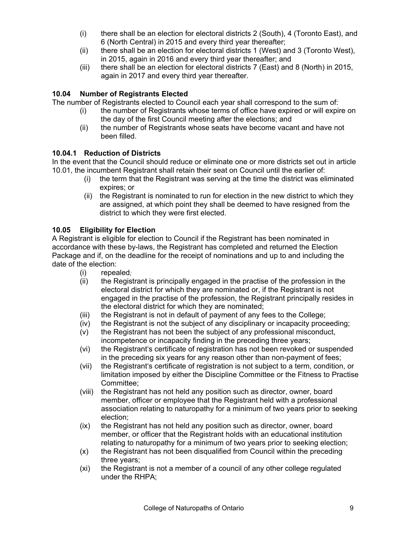- (i) there shall be an election for electoral districts 2 (South), 4 (Toronto East), and 6 (North Central) in 2015 and every third year thereafter;
- (ii) there shall be an election for electoral districts 1 (West) and 3 (Toronto West), in 2015, again in 2016 and every third year thereafter; and
- (iii) there shall be an election for electoral districts 7 (East) and 8 (North) in 2015, again in 2017 and every third year thereafter.

# **10.04 Number of Registrants Elected**

The number of Registrants elected to Council each year shall correspond to the sum of:

- (i) the number of Registrants whose terms of office have expired or will expire on the day of the first Council meeting after the elections; and
- (ii) the number of Registrants whose seats have become vacant and have not been filled.

# **10.04.1 Reduction of Districts**

In the event that the Council should reduce or eliminate one or more districts set out in article 10.01, the incumbent Registrant shall retain their seat on Council until the earlier of:

- (i) the term that the Registrant was serving at the time the district was eliminated expires; or
- (ii) the Registrant is nominated to run for election in the new district to which they are assigned, at which point they shall be deemed to have resigned from the district to which they were first elected.

# **10.05 Eligibility for Election**

A Registrant is eligible for election to Council if the Registrant has been nominated in accordance with these by-laws, the Registrant has completed and returned the Election Package and if, on the deadline for the receipt of nominations and up to and including the date of the election:

- (i) repealed*;*
- (ii) the Registrant is principally engaged in the practise of the profession in the electoral district for which they are nominated or, if the Registrant is not engaged in the practise of the profession, the Registrant principally resides in the electoral district for which they are nominated;
- (iii) the Registrant is not in default of payment of any fees to the College;
- (iv) the Registrant is not the subject of any disciplinary or incapacity proceeding;
- (v) the Registrant has not been the subject of any professional misconduct, incompetence or incapacity finding in the preceding three years;
- (vi) the Registrant's certificate of registration has not been revoked or suspended in the preceding six years for any reason other than non-payment of fees;
- (vii) the Registrant's certificate of registration is not subject to a term, condition, or limitation imposed by either the Discipline Committee or the Fitness to Practise Committee;
- (viii) the Registrant has not held any position such as director, owner, board member, officer or employee that the Registrant held with a professional association relating to naturopathy for a minimum of two years prior to seeking election;
- (ix) the Registrant has not held any position such as director, owner, board member, or officer that the Registrant holds with an educational institution relating to naturopathy for a minimum of two years prior to seeking election;
- (x) the Registrant has not been disqualified from Council within the preceding three years;
- (xi) the Registrant is not a member of a council of any other college regulated under the RHPA;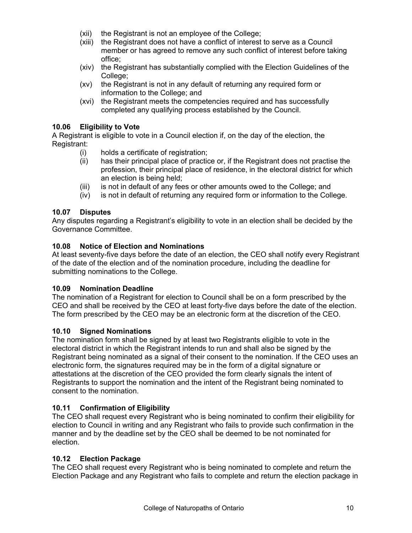- (xii) the Registrant is not an employee of the College;
- (xiii) the Registrant does not have a conflict of interest to serve as a Council member or has agreed to remove any such conflict of interest before taking office;
- (xiv) the Registrant has substantially complied with the Election Guidelines of the College;
- (xv) the Registrant is not in any default of returning any required form or information to the College; and
- (xvi) the Registrant meets the competencies required and has successfully completed any qualifying process established by the Council.

#### **10.06 Eligibility to Vote**

A Registrant is eligible to vote in a Council election if, on the day of the election, the Registrant:

- (i) holds a certificate of registration;
- (ii) has their principal place of practice or, if the Registrant does not practise the profession, their principal place of residence, in the electoral district for which an election is being held;
- (iii) is not in default of any fees or other amounts owed to the College; and
- (iv) is not in default of returning any required form or information to the College.

### **10.07 Disputes**

Any disputes regarding a Registrant's eligibility to vote in an election shall be decided by the Governance Committee.

#### **10.08 Notice of Election and Nominations**

At least seventy-five days before the date of an election, the CEO shall notify every Registrant of the date of the election and of the nomination procedure, including the deadline for submitting nominations to the College.

#### **10.09 Nomination Deadline**

The nomination of a Registrant for election to Council shall be on a form prescribed by the CEO and shall be received by the CEO at least forty-five days before the date of the election. The form prescribed by the CEO may be an electronic form at the discretion of the CEO.

#### **10.10 Signed Nominations**

The nomination form shall be signed by at least two Registrants eligible to vote in the electoral district in which the Registrant intends to run and shall also be signed by the Registrant being nominated as a signal of their consent to the nomination. If the CEO uses an electronic form, the signatures required may be in the form of a digital signature or attestations at the discretion of the CEO provided the form clearly signals the intent of Registrants to support the nomination and the intent of the Registrant being nominated to consent to the nomination.

# **10.11 Confirmation of Eligibility**

The CEO shall request every Registrant who is being nominated to confirm their eligibility for election to Council in writing and any Registrant who fails to provide such confirmation in the manner and by the deadline set by the CEO shall be deemed to be not nominated for election.

#### **10.12 Election Package**

The CEO shall request every Registrant who is being nominated to complete and return the Election Package and any Registrant who fails to complete and return the election package in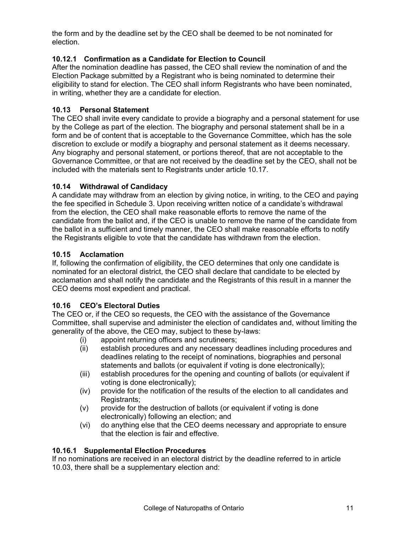the form and by the deadline set by the CEO shall be deemed to be not nominated for election.

# **10.12.1 Confirmation as a Candidate for Election to Council**

After the nomination deadline has passed, the CEO shall review the nomination of and the Election Package submitted by a Registrant who is being nominated to determine their eligibility to stand for election. The CEO shall inform Registrants who have been nominated, in writing, whether they are a candidate for election.

# **10.13 Personal Statement**

The CEO shall invite every candidate to provide a biography and a personal statement for use by the College as part of the election. The biography and personal statement shall be in a form and be of content that is acceptable to the Governance Committee, which has the sole discretion to exclude or modify a biography and personal statement as it deems necessary. Any biography and personal statement, or portions thereof, that are not acceptable to the Governance Committee, or that are not received by the deadline set by the CEO, shall not be included with the materials sent to Registrants under article 10.17.

# **10.14 Withdrawal of Candidacy**

A candidate may withdraw from an election by giving notice, in writing, to the CEO and paying the fee specified in Schedule 3. Upon receiving written notice of a candidate's withdrawal from the election, the CEO shall make reasonable efforts to remove the name of the candidate from the ballot and, if the CEO is unable to remove the name of the candidate from the ballot in a sufficient and timely manner, the CEO shall make reasonable efforts to notify the Registrants eligible to vote that the candidate has withdrawn from the election.

# **10.15 Acclamation**

If, following the confirmation of eligibility, the CEO determines that only one candidate is nominated for an electoral district, the CEO shall declare that candidate to be elected by acclamation and shall notify the candidate and the Registrants of this result in a manner the CEO deems most expedient and practical.

# **10.16 CEO's Electoral Duties**

The CEO or, if the CEO so requests, the CEO with the assistance of the Governance Committee, shall supervise and administer the election of candidates and, without limiting the generality of the above, the CEO may, subject to these by-laws:

- (i) appoint returning officers and scrutineers;
- (ii) establish procedures and any necessary deadlines including procedures and deadlines relating to the receipt of nominations, biographies and personal statements and ballots (or equivalent if voting is done electronically);
- (iii) establish procedures for the opening and counting of ballots (or equivalent if voting is done electronically);
- (iv) provide for the notification of the results of the election to all candidates and Registrants;
- (v) provide for the destruction of ballots (or equivalent if voting is done electronically) following an election; and
- (vi) do anything else that the CEO deems necessary and appropriate to ensure that the election is fair and effective.

# **10.16.1 Supplemental Election Procedures**

If no nominations are received in an electoral district by the deadline referred to in article 10.03, there shall be a supplementary election and: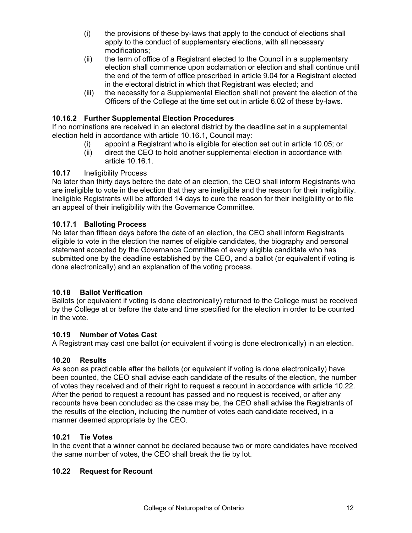- (i) the provisions of these by-laws that apply to the conduct of elections shall apply to the conduct of supplementary elections, with all necessary modifications;
- (ii) the term of office of a Registrant elected to the Council in a supplementary election shall commence upon acclamation or election and shall continue until the end of the term of office prescribed in article 9.04 for a Registrant elected in the electoral district in which that Registrant was elected; and
- (iii) the necessity for a Supplemental Election shall not prevent the election of the Officers of the College at the time set out in article 6.02 of these by-laws.

### **10.16.2 Further Supplemental Election Procedures**

If no nominations are received in an electoral district by the deadline set in a supplemental election held in accordance with article 10.16.1, Council may:

- (i) appoint a Registrant who is eligible for election set out in article 10.05; or
- (ii) direct the CEO to hold another supplemental election in accordance with article 10.16.1.

#### **10.17** Ineligibility Process

No later than thirty days before the date of an election, the CEO shall inform Registrants who are ineligible to vote in the election that they are ineligible and the reason for their ineligibility. Ineligible Registrants will be afforded 14 days to cure the reason for their ineligibility or to file an appeal of their ineligibility with the Governance Committee.

#### **10.17.1 Balloting Process**

No later than fifteen days before the date of an election, the CEO shall inform Registrants eligible to vote in the election the names of eligible candidates, the biography and personal statement accepted by the Governance Committee of every eligible candidate who has submitted one by the deadline established by the CEO, and a ballot (or equivalent if voting is done electronically) and an explanation of the voting process.

#### **10.18 Ballot Verification**

Ballots (or equivalent if voting is done electronically) returned to the College must be received by the College at or before the date and time specified for the election in order to be counted in the vote.

#### **10.19 Number of Votes Cast**

A Registrant may cast one ballot (or equivalent if voting is done electronically) in an election.

#### **10.20 Results**

As soon as practicable after the ballots (or equivalent if voting is done electronically) have been counted, the CEO shall advise each candidate of the results of the election, the number of votes they received and of their right to request a recount in accordance with article 10.22. After the period to request a recount has passed and no request is received, or after any recounts have been concluded as the case may be, the CEO shall advise the Registrants of the results of the election, including the number of votes each candidate received, in a manner deemed appropriate by the CEO.

#### **10.21 Tie Votes**

In the event that a winner cannot be declared because two or more candidates have received the same number of votes, the CEO shall break the tie by lot.

#### **10.22 Request for Recount**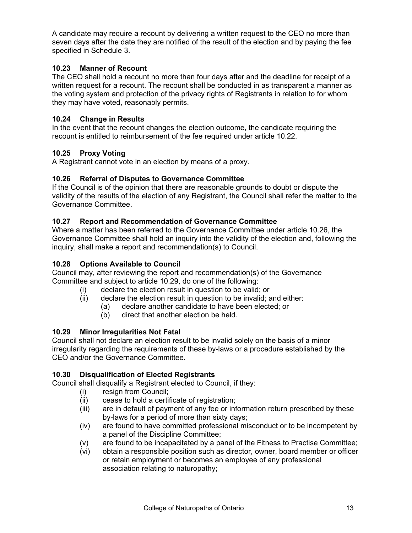A candidate may require a recount by delivering a written request to the CEO no more than seven days after the date they are notified of the result of the election and by paying the fee specified in Schedule 3.

### **10.23 Manner of Recount**

The CEO shall hold a recount no more than four days after and the deadline for receipt of a written request for a recount. The recount shall be conducted in as transparent a manner as the voting system and protection of the privacy rights of Registrants in relation to for whom they may have voted, reasonably permits.

### **10.24 Change in Results**

In the event that the recount changes the election outcome, the candidate requiring the recount is entitled to reimbursement of the fee required under article 10.22.

### **10.25 Proxy Voting**

A Registrant cannot vote in an election by means of a proxy.

#### **10.26 Referral of Disputes to Governance Committee**

If the Council is of the opinion that there are reasonable grounds to doubt or dispute the validity of the results of the election of any Registrant, the Council shall refer the matter to the Governance Committee.

#### **10.27 Report and Recommendation of Governance Committee**

Where a matter has been referred to the Governance Committee under article 10.26, the Governance Committee shall hold an inquiry into the validity of the election and, following the inquiry, shall make a report and recommendation(s) to Council.

### **10.28 Options Available to Council**

Council may, after reviewing the report and recommendation(s) of the Governance Committee and subject to article 10.29, do one of the following:

- (i) declare the election result in question to be valid; or
- (ii) declare the election result in question to be invalid; and either:
	- (a) declare another candidate to have been elected; or
		- (b) direct that another election be held.

#### **10.29 Minor Irregularities Not Fatal**

Council shall not declare an election result to be invalid solely on the basis of a minor irregularity regarding the requirements of these by-laws or a procedure established by the CEO and/or the Governance Committee.

#### **10.30 Disqualification of Elected Registrants**

Council shall disqualify a Registrant elected to Council, if they:

- (i) resign from Council;
- (ii) cease to hold a certificate of registration;
- (iii) are in default of payment of any fee or information return prescribed by these by-laws for a period of more than sixty days;
- (iv) are found to have committed professional misconduct or to be incompetent by a panel of the Discipline Committee;
- (v) are found to be incapacitated by a panel of the Fitness to Practise Committee;
- (vi) obtain a responsible position such as director, owner, board member or officer or retain employment or becomes an employee of any professional association relating to naturopathy;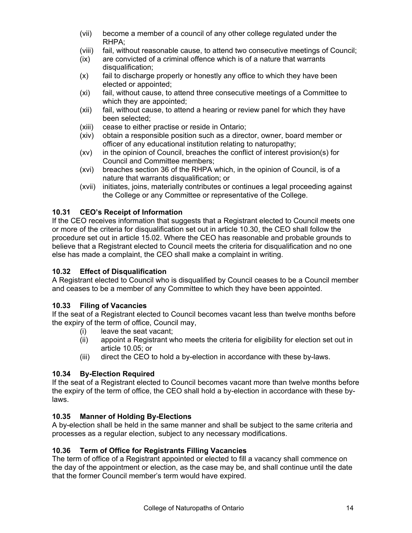- (vii) become a member of a council of any other college regulated under the RHPA;
- (viii) fail, without reasonable cause, to attend two consecutive meetings of Council;
- (ix) are convicted of a criminal offence which is of a nature that warrants disqualification;
- (x) fail to discharge properly or honestly any office to which they have been elected or appointed;
- (xi) fail, without cause, to attend three consecutive meetings of a Committee to which they are appointed;
- (xii) fail, without cause, to attend a hearing or review panel for which they have been selected;
- (xiii) cease to either practise or reside in Ontario;
- (xiv) obtain a responsible position such as a director, owner, board member or officer of any educational institution relating to naturopathy;
- (xv) in the opinion of Council, breaches the conflict of interest provision(s) for Council and Committee members;
- (xvi) breaches section 36 of the RHPA which, in the opinion of Council, is of a nature that warrants disqualification; or
- (xvii) initiates, joins, materially contributes or continues a legal proceeding against the College or any Committee or representative of the College.

# **10.31 CEO's Receipt of Information**

If the CEO receives information that suggests that a Registrant elected to Council meets one or more of the criteria for disqualification set out in article 10.30, the CEO shall follow the procedure set out in article 15.02. Where the CEO has reasonable and probable grounds to believe that a Registrant elected to Council meets the criteria for disqualification and no one else has made a complaint, the CEO shall make a complaint in writing.

# **10.32 Effect of Disqualification**

A Registrant elected to Council who is disqualified by Council ceases to be a Council member and ceases to be a member of any Committee to which they have been appointed.

# **10.33 Filing of Vacancies**

If the seat of a Registrant elected to Council becomes vacant less than twelve months before the expiry of the term of office, Council may,

- (i) leave the seat vacant;
- (ii) appoint a Registrant who meets the criteria for eligibility for election set out in article 10.05; or
- (iii) direct the CEO to hold a by-election in accordance with these by-laws.

# **10.34 By-Election Required**

If the seat of a Registrant elected to Council becomes vacant more than twelve months before the expiry of the term of office, the CEO shall hold a by-election in accordance with these bylaws.

# **10.35 Manner of Holding By-Elections**

A by-election shall be held in the same manner and shall be subject to the same criteria and processes as a regular election, subject to any necessary modifications.

# **10.36 Term of Office for Registrants Filling Vacancies**

The term of office of a Registrant appointed or elected to fill a vacancy shall commence on the day of the appointment or election, as the case may be, and shall continue until the date that the former Council member's term would have expired.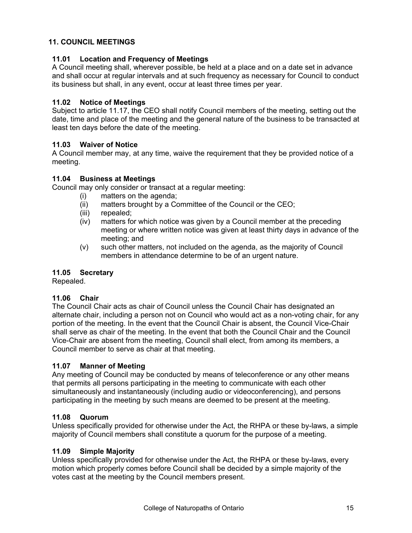### <span id="page-16-0"></span>**11. COUNCIL MEETINGS**

#### **11.01 Location and Frequency of Meetings**

A Council meeting shall, wherever possible, be held at a place and on a date set in advance and shall occur at regular intervals and at such frequency as necessary for Council to conduct its business but shall, in any event, occur at least three times per year.

#### **11.02 Notice of Meetings**

Subject to article 11.17, the CEO shall notify Council members of the meeting, setting out the date, time and place of the meeting and the general nature of the business to be transacted at least ten days before the date of the meeting.

#### **11.03 Waiver of Notice**

A Council member may, at any time, waive the requirement that they be provided notice of a meeting.

#### **11.04 Business at Meetings**

Council may only consider or transact at a regular meeting:

- (i) matters on the agenda;
- (ii) matters brought by a Committee of the Council or the CEO;
- (iii) repealed;
- (iv) matters for which notice was given by a Council member at the preceding meeting or where written notice was given at least thirty days in advance of the meeting; and
- (v) such other matters, not included on the agenda, as the majority of Council members in attendance determine to be of an urgent nature.

#### **11.05 Secretary**

Repealed.

#### **11.06 Chair**

The Council Chair acts as chair of Council unless the Council Chair has designated an alternate chair, including a person not on Council who would act as a non-voting chair, for any portion of the meeting. In the event that the Council Chair is absent, the Council Vice-Chair shall serve as chair of the meeting. In the event that both the Council Chair and the Council Vice-Chair are absent from the meeting, Council shall elect, from among its members, a Council member to serve as chair at that meeting.

#### **11.07 Manner of Meeting**

Any meeting of Council may be conducted by means of teleconference or any other means that permits all persons participating in the meeting to communicate with each other simultaneously and instantaneously (including audio or videoconferencing), and persons participating in the meeting by such means are deemed to be present at the meeting.

#### **11.08 Quorum**

Unless specifically provided for otherwise under the Act, the RHPA or these by-laws, a simple majority of Council members shall constitute a quorum for the purpose of a meeting.

#### **11.09 Simple Majority**

Unless specifically provided for otherwise under the Act, the RHPA or these by-laws, every motion which properly comes before Council shall be decided by a simple majority of the votes cast at the meeting by the Council members present.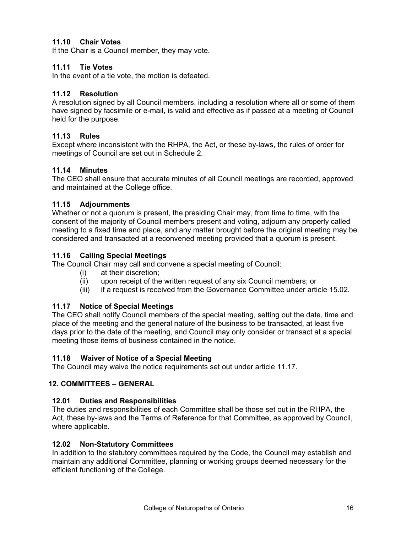### **11.10 Chair Votes**

If the Chair is a Council member, they may vote.

#### **11.11 Tie Votes**

In the event of a tie vote, the motion is defeated.

#### **11.12 Resolution**

A resolution signed by all Council members, including a resolution where all or some of them have signed by facsimile or e-mail, is valid and effective as if passed at a meeting of Council held for the purpose.

#### **11.13 Rules**

Except where inconsistent with the RHPA, the Act, or these by-laws, the rules of order for meetings of Council are set out in Schedule 2.

#### **11.14 Minutes**

The CEO shall ensure that accurate minutes of all Council meetings are recorded, approved and maintained at the College office.

#### **11.15 Adjournments**

Whether or not a quorum is present, the presiding Chair may, from time to time, with the consent of the majority of Council members present and voting, adjourn any properly called meeting to a fixed time and place, and any matter brought before the original meeting may be considered and transacted at a reconvened meeting provided that a quorum is present.

#### **11.16 Calling Special Meetings**

The Council Chair may call and convene a special meeting of Council:

- (i) at their discretion;
- (ii) upon receipt of the written request of any six Council members; or
- (iii) if a request is received from the Governance Committee under article 15.02.

#### **11.17 Notice of Special Meetings**

The CEO shall notify Council members of the special meeting, setting out the date, time and place of the meeting and the general nature of the business to be transacted, at least five days prior to the date of the meeting, and Council may only consider or transact at a special meeting those items of business contained in the notice.

#### **11.18 Waiver of Notice of a Special Meeting**

The Council may waive the notice requirements set out under article 11.17.

#### <span id="page-17-0"></span>**12. COMMITTEES – GENERAL**

#### **12.01 Duties and Responsibilities**

The duties and responsibilities of each Committee shall be those set out in the RHPA, the Act, these by-laws and the Terms of Reference for that Committee, as approved by Council, where applicable.

#### **12.02 Non-Statutory Committees**

In addition to the statutory committees required by the Code, the Council may establish and maintain any additional Committee, planning or working groups deemed necessary for the efficient functioning of the College.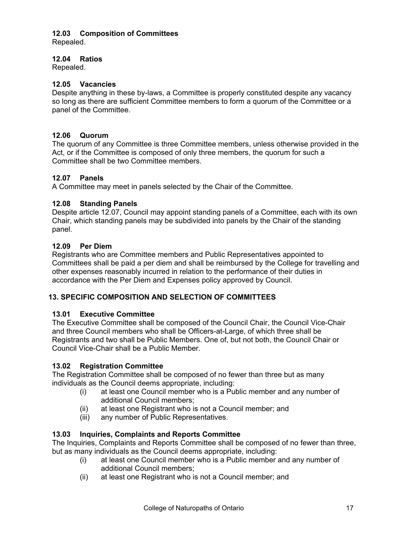# **12.03 Composition of Committees**

Repealed.

#### **12.04 Ratios**

Repealed.

#### **12.05 Vacancies**

Despite anything in these by-laws, a Committee is properly constituted despite any vacancy so long as there are sufficient Committee members to form a quorum of the Committee or a panel of the Committee.

#### **12.06 Quorum**

The quorum of any Committee is three Committee members, unless otherwise provided in the Act, or if the Committee is composed of only three members, the quorum for such a Committee shall be two Committee members.

#### **12.07 Panels**

A Committee may meet in panels selected by the Chair of the Committee.

### **12.08 Standing Panels**

Despite article 12.07, Council may appoint standing panels of a Committee, each with its own Chair, which standing panels may be subdivided into panels by the Chair of the standing panel.

#### **12.09 Per Diem**

Registrants who are Committee members and Public Representatives appointed to Committees shall be paid a per diem and shall be reimbursed by the College for travelling and other expenses reasonably incurred in relation to the performance of their duties in accordance with the Per Diem and Expenses policy approved by Council.

# <span id="page-18-0"></span>**13. SPECIFIC COMPOSITION AND SELECTION OF COMMITTEES**

#### **13.01 Executive Committee**

The Executive Committee shall be composed of the Council Chair, the Council Vice-Chair and three Council members who shall be Officers-at-Large, of which three shall be Registrants and two shall be Public Members. One of, but not both, the Council Chair or Council Vice-Chair shall be a Public Member.

#### **13.02 Registration Committee**

The Registration Committee shall be composed of no fewer than three but as many individuals as the Council deems appropriate, including:

- (i) at least one Council member who is a Public member and any number of additional Council members;
- (ii) at least one Registrant who is not a Council member; and
- (iii) any number of Public Representatives.

#### **13.03 Inquiries, Complaints and Reports Committee**

The Inquiries, Complaints and Reports Committee shall be composed of no fewer than three, but as many individuals as the Council deems appropriate, including:

- (i) at least one Council member who is a Public member and any number of additional Council members;
- (ii) at least one Registrant who is not a Council member; and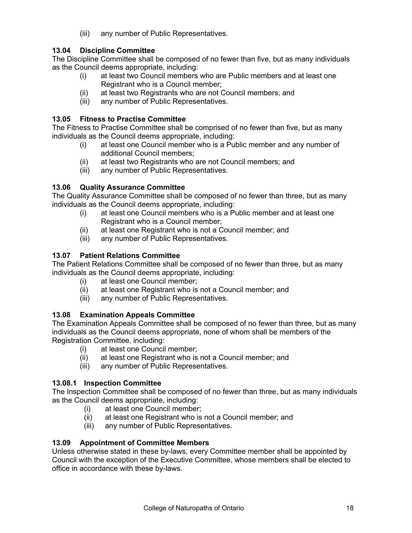(iii) any number of Public Representatives.

# **13.04 Discipline Committee**

The Discipline Committee shall be composed of no fewer than five, but as many individuals as the Council deems appropriate, including:

- (i) at least two Council members who are Public members and at least one Registrant who is a Council member;
- (ii) at least two Registrants who are not Council members; and
- (iii) any number of Public Representatives.

# **13.05 Fitness to Practise Committee**

The Fitness to Practise Committee shall be comprised of no fewer than five, but as many individuals as the Council deems appropriate, including:

- (i) at least one Council member who is a Public member and any number of additional Council members;
- (ii) at least two Registrants who are not Council members; and
- (iii) any number of Public Representatives.

# **13.06 Quality Assurance Committee**

The Quality Assurance Committee shall be composed of no fewer than three, but as many individuals as the Council deems appropriate, including:

- (i) at least one Council members who is a Public member and at least one Registrant who is a Council member;
- (ii) at least one Registrant who is not a Council member; and
- (iii) any number of Public Representatives.

# **13.07 Patient Relations Committee**

The Patient Relations Committee shall be composed of no fewer than three, but as many individuals as the Council deems appropriate, including:

- (i) at least one Council member;
- (ii) at least one Registrant who is not a Council member; and
- (iii) any number of Public Representatives.

# **13.08 Examination Appeals Committee**

The Examination Appeals Committee shall be composed of no fewer than three, but as many individuals as the Council deems appropriate, none of whom shall be members of the Registration Committee, including:

- (i) at least one Council member;
- (ii) at least one Registrant who is not a Council member; and
- (iii) any number of Public Representatives.

# **13.08.1 Inspection Committee**

The Inspection Committee shall be composed of no fewer than three, but as many individuals as the Council deems appropriate, including:

- (i) at least one Council member;
- (ii) at least one Registrant who is not a Council member; and
- (iii) any number of Public Representatives.

# **13.09 Appointment of Committee Members**

Unless otherwise stated in these by-laws, every Committee member shall be appointed by Council with the exception of the Executive Committee, whose members shall be elected to office in accordance with these by-laws.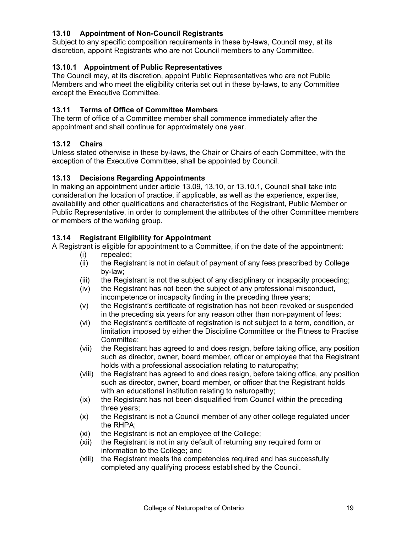# **13.10 Appointment of Non-Council Registrants**

Subject to any specific composition requirements in these by-laws, Council may, at its discretion, appoint Registrants who are not Council members to any Committee.

#### **13.10.1 Appointment of Public Representatives**

The Council may, at its discretion, appoint Public Representatives who are not Public Members and who meet the eligibility criteria set out in these by-laws, to any Committee except the Executive Committee.

#### **13.11 Terms of Office of Committee Members**

The term of office of a Committee member shall commence immediately after the appointment and shall continue for approximately one year.

### **13.12 Chairs**

Unless stated otherwise in these by-laws, the Chair or Chairs of each Committee, with the exception of the Executive Committee, shall be appointed by Council.

#### **13.13 Decisions Regarding Appointments**

In making an appointment under article 13.09, 13.10, or 13.10.1, Council shall take into consideration the location of practice, if applicable, as well as the experience, expertise, availability and other qualifications and characteristics of the Registrant, Public Member or Public Representative, in order to complement the attributes of the other Committee members or members of the working group.

### **13.14 Registrant Eligibility for Appointment**

A Registrant is eligible for appointment to a Committee, if on the date of the appointment:

- (i) repealed;
- (ii) the Registrant is not in default of payment of any fees prescribed by College by-law;
- (iii) the Registrant is not the subject of any disciplinary or incapacity proceeding;
- (iv) the Registrant has not been the subject of any professional misconduct, incompetence or incapacity finding in the preceding three years;
- (v) the Registrant's certificate of registration has not been revoked or suspended in the preceding six years for any reason other than non-payment of fees;
- (vi) the Registrant's certificate of registration is not subject to a term, condition, or limitation imposed by either the Discipline Committee or the Fitness to Practise Committee;
- (vii) the Registrant has agreed to and does resign, before taking office, any position such as director, owner, board member, officer or employee that the Registrant holds with a professional association relating to naturopathy;
- (viii) the Registrant has agreed to and does resign, before taking office, any position such as director, owner, board member, or officer that the Registrant holds with an educational institution relating to naturopathy;
- (ix) the Registrant has not been disqualified from Council within the preceding three years;
- (x) the Registrant is not a Council member of any other college regulated under the RHPA;
- (xi) the Registrant is not an employee of the College;
- (xii) the Registrant is not in any default of returning any required form or information to the College; and
- (xiii) the Registrant meets the competencies required and has successfully completed any qualifying process established by the Council.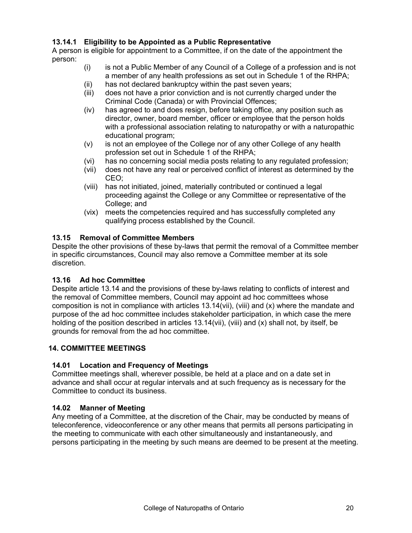# **13.14.1 Eligibility to be Appointed as a Public Representative**

A person is eligible for appointment to a Committee, if on the date of the appointment the person:

- (i) is not a Public Member of any Council of a College of a profession and is not a member of any health professions as set out in Schedule 1 of the RHPA;
- (ii) has not declared bankruptcy within the past seven years;
- (iii) does not have a prior conviction and is not currently charged under the Criminal Code (Canada) or with Provincial Offences;
- (iv) has agreed to and does resign, before taking office, any position such as director, owner, board member, officer or employee that the person holds with a professional association relating to naturopathy or with a naturopathic educational program;
- (v) is not an employee of the College nor of any other College of any health profession set out in Schedule 1 of the RHPA;
- (vi) has no concerning social media posts relating to any regulated profession;
- (vii) does not have any real or perceived conflict of interest as determined by the CEO;
- (viii) has not initiated, joined, materially contributed or continued a legal proceeding against the College or any Committee or representative of the College; and
- (vix) meets the competencies required and has successfully completed any qualifying process established by the Council.

### **13.15 Removal of Committee Members**

Despite the other provisions of these by-laws that permit the removal of a Committee member in specific circumstances, Council may also remove a Committee member at its sole discretion.

#### **13.16 Ad hoc Committee**

Despite article 13.14 and the provisions of these by-laws relating to conflicts of interest and the removal of Committee members, Council may appoint ad hoc committees whose composition is not in compliance with articles 13.14(vii), (viii) and (x) where the mandate and purpose of the ad hoc committee includes stakeholder participation, in which case the mere holding of the position described in articles 13.14(vii), (viii) and (x) shall not, by itself, be grounds for removal from the ad hoc committee.

# <span id="page-21-0"></span>**14. COMMITTEE MEETINGS**

# **14.01 Location and Frequency of Meetings**

Committee meetings shall, wherever possible, be held at a place and on a date set in advance and shall occur at regular intervals and at such frequency as is necessary for the Committee to conduct its business.

#### **14.02 Manner of Meeting**

Any meeting of a Committee, at the discretion of the Chair, may be conducted by means of teleconference, videoconference or any other means that permits all persons participating in the meeting to communicate with each other simultaneously and instantaneously, and persons participating in the meeting by such means are deemed to be present at the meeting.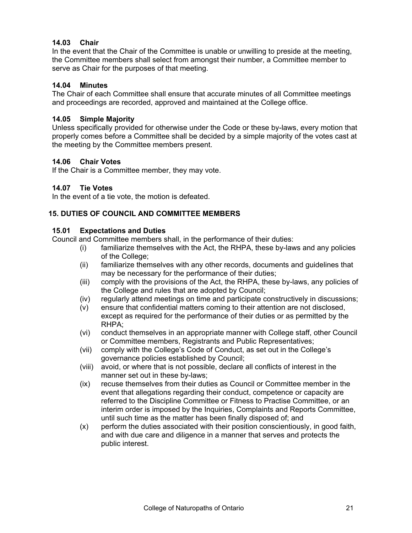#### **14.03 Chair**

In the event that the Chair of the Committee is unable or unwilling to preside at the meeting, the Committee members shall select from amongst their number, a Committee member to serve as Chair for the purposes of that meeting.

#### **14.04 Minutes**

The Chair of each Committee shall ensure that accurate minutes of all Committee meetings and proceedings are recorded, approved and maintained at the College office.

#### **14.05 Simple Majority**

Unless specifically provided for otherwise under the Code or these by-laws, every motion that properly comes before a Committee shall be decided by a simple majority of the votes cast at the meeting by the Committee members present.

#### **14.06 Chair Votes**

If the Chair is a Committee member, they may vote.

#### **14.07 Tie Votes**

In the event of a tie vote, the motion is defeated.

#### <span id="page-22-0"></span>**15. DUTIES OF COUNCIL AND COMMITTEE MEMBERS**

#### **15.01 Expectations and Duties**

Council and Committee members shall, in the performance of their duties:

- (i) familiarize themselves with the Act, the RHPA, these by-laws and any policies of the College;
- (ii) familiarize themselves with any other records, documents and guidelines that may be necessary for the performance of their duties;
- (iii) comply with the provisions of the Act, the RHPA, these by-laws, any policies of the College and rules that are adopted by Council;
- (iv) regularly attend meetings on time and participate constructively in discussions;
- (v) ensure that confidential matters coming to their attention are not disclosed, except as required for the performance of their duties or as permitted by the RHPA;
- (vi) conduct themselves in an appropriate manner with College staff, other Council or Committee members, Registrants and Public Representatives;
- (vii) comply with the College's Code of Conduct, as set out in the College's governance policies established by Council;
- (viii) avoid, or where that is not possible, declare all conflicts of interest in the manner set out in these by-laws;
- (ix) recuse themselves from their duties as Council or Committee member in the event that allegations regarding their conduct, competence or capacity are referred to the Discipline Committee or Fitness to Practise Committee, or an interim order is imposed by the Inquiries, Complaints and Reports Committee, until such time as the matter has been finally disposed of; and
- (x) perform the duties associated with their position conscientiously, in good faith, and with due care and diligence in a manner that serves and protects the public interest.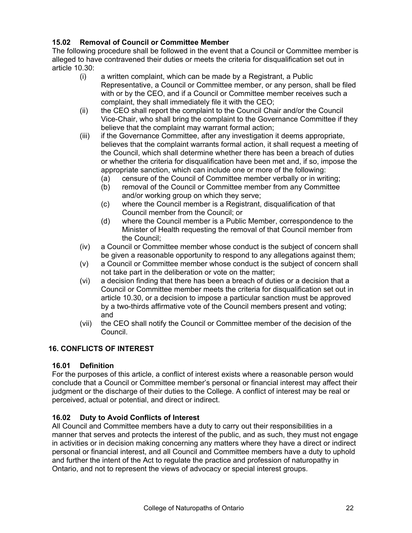# **15.02 Removal of Council or Committee Member**

The following procedure shall be followed in the event that a Council or Committee member is alleged to have contravened their duties or meets the criteria for disqualification set out in article 10.30:

- (i) a written complaint, which can be made by a Registrant, a Public Representative, a Council or Committee member, or any person, shall be filed with or by the CEO, and if a Council or Committee member receives such a complaint, they shall immediately file it with the CEO;
- (ii) the CEO shall report the complaint to the Council Chair and/or the Council Vice-Chair, who shall bring the complaint to the Governance Committee if they believe that the complaint may warrant formal action;
- (iii) if the Governance Committee, after any investigation it deems appropriate, believes that the complaint warrants formal action, it shall request a meeting of the Council, which shall determine whether there has been a breach of duties or whether the criteria for disqualification have been met and, if so, impose the appropriate sanction, which can include one or more of the following:
	- (a) censure of the Council of Committee member verbally or in writing;
	- (b) removal of the Council or Committee member from any Committee and/or working group on which they serve;
	- (c) where the Council member is a Registrant, disqualification of that Council member from the Council; or
	- (d) where the Council member is a Public Member, correspondence to the Minister of Health requesting the removal of that Council member from the Council;
- (iv) a Council or Committee member whose conduct is the subject of concern shall be given a reasonable opportunity to respond to any allegations against them;
- (v) a Council or Committee member whose conduct is the subject of concern shall not take part in the deliberation or vote on the matter;
- (vi) a decision finding that there has been a breach of duties or a decision that a Council or Committee member meets the criteria for disqualification set out in article 10.30, or a decision to impose a particular sanction must be approved by a two-thirds affirmative vote of the Council members present and voting; and
- (vii) the CEO shall notify the Council or Committee member of the decision of the Council.

# <span id="page-23-0"></span>**16. CONFLICTS OF INTEREST**

#### **16.01 Definition**

For the purposes of this article, a conflict of interest exists where a reasonable person would conclude that a Council or Committee member's personal or financial interest may affect their judgment or the discharge of their duties to the College. A conflict of interest may be real or perceived, actual or potential, and direct or indirect.

# **16.02 Duty to Avoid Conflicts of Interest**

All Council and Committee members have a duty to carry out their responsibilities in a manner that serves and protects the interest of the public, and as such, they must not engage in activities or in decision making concerning any matters where they have a direct or indirect personal or financial interest, and all Council and Committee members have a duty to uphold and further the intent of the Act to regulate the practice and profession of naturopathy in Ontario, and not to represent the views of advocacy or special interest groups.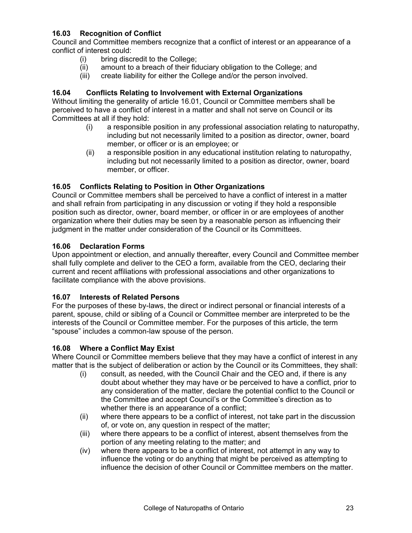# **16.03 Recognition of Conflict**

Council and Committee members recognize that a conflict of interest or an appearance of a conflict of interest could:

- (i) bring discredit to the College;
- (ii) amount to a breach of their fiduciary obligation to the College; and
- (iii) create liability for either the College and/or the person involved.

### **16.04 Conflicts Relating to Involvement with External Organizations**

Without limiting the generality of article 16.01, Council or Committee members shall be perceived to have a conflict of interest in a matter and shall not serve on Council or its Committees at all if they hold:

- (i) a responsible position in any professional association relating to naturopathy, including but not necessarily limited to a position as director, owner, board member, or officer or is an employee; or
- (ii) a responsible position in any educational institution relating to naturopathy, including but not necessarily limited to a position as director, owner, board member, or officer.

#### **16.05 Conflicts Relating to Position in Other Organizations**

Council or Committee members shall be perceived to have a conflict of interest in a matter and shall refrain from participating in any discussion or voting if they hold a responsible position such as director, owner, board member, or officer in or are employees of another organization where their duties may be seen by a reasonable person as influencing their judgment in the matter under consideration of the Council or its Committees.

#### **16.06 Declaration Forms**

Upon appointment or election, and annually thereafter, every Council and Committee member shall fully complete and deliver to the CEO a form, available from the CEO, declaring their current and recent affiliations with professional associations and other organizations to facilitate compliance with the above provisions.

#### **16.07 Interests of Related Persons**

For the purposes of these by-laws, the direct or indirect personal or financial interests of a parent, spouse, child or sibling of a Council or Committee member are interpreted to be the interests of the Council or Committee member. For the purposes of this article, the term "spouse" includes a common-law spouse of the person.

#### **16.08 Where a Conflict May Exist**

Where Council or Committee members believe that they may have a conflict of interest in any matter that is the subject of deliberation or action by the Council or its Committees, they shall:

- (i) consult, as needed, with the Council Chair and the CEO and, if there is any doubt about whether they may have or be perceived to have a conflict, prior to any consideration of the matter, declare the potential conflict to the Council or the Committee and accept Council's or the Committee's direction as to whether there is an appearance of a conflict;
- (ii) where there appears to be a conflict of interest, not take part in the discussion of, or vote on, any question in respect of the matter;
- (iii) where there appears to be a conflict of interest, absent themselves from the portion of any meeting relating to the matter; and
- (iv) where there appears to be a conflict of interest, not attempt in any way to influence the voting or do anything that might be perceived as attempting to influence the decision of other Council or Committee members on the matter.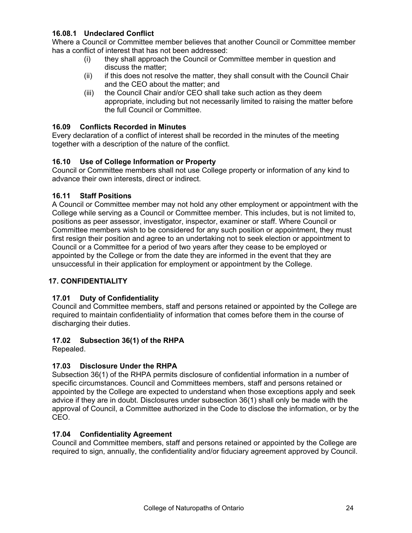# **16.08.1 Undeclared Conflict**

Where a Council or Committee member believes that another Council or Committee member has a conflict of interest that has not been addressed:

- (i) they shall approach the Council or Committee member in question and discuss the matter;
- (ii) if this does not resolve the matter, they shall consult with the Council Chair and the CEO about the matter; and
- (iii) the Council Chair and/or CEO shall take such action as they deem appropriate, including but not necessarily limited to raising the matter before the full Council or Committee.

### **16.09 Conflicts Recorded in Minutes**

Every declaration of a conflict of interest shall be recorded in the minutes of the meeting together with a description of the nature of the conflict.

# **16.10 Use of College Information or Property**

Council or Committee members shall not use College property or information of any kind to advance their own interests, direct or indirect.

### **16.11 Staff Positions**

A Council or Committee member may not hold any other employment or appointment with the College while serving as a Council or Committee member. This includes, but is not limited to, positions as peer assessor, investigator, inspector, examiner or staff. Where Council or Committee members wish to be considered for any such position or appointment, they must first resign their position and agree to an undertaking not to seek election or appointment to Council or a Committee for a period of two years after they cease to be employed or appointed by the College or from the date they are informed in the event that they are unsuccessful in their application for employment or appointment by the College.

# <span id="page-25-0"></span>**17. CONFIDENTIALITY**

# **17.01 Duty of Confidentiality**

Council and Committee members, staff and persons retained or appointed by the College are required to maintain confidentiality of information that comes before them in the course of discharging their duties.

# **17.02 Subsection 36(1) of the RHPA**

Repealed.

# **17.03 Disclosure Under the RHPA**

Subsection 36(1) of the RHPA permits disclosure of confidential information in a number of specific circumstances. Council and Committees members, staff and persons retained or appointed by the College are expected to understand when those exceptions apply and seek advice if they are in doubt. Disclosures under subsection 36(1) shall only be made with the approval of Council, a Committee authorized in the Code to disclose the information, or by the CEO.

#### **17.04 Confidentiality Agreement**

Council and Committee members, staff and persons retained or appointed by the College are required to sign, annually, the confidentiality and/or fiduciary agreement approved by Council.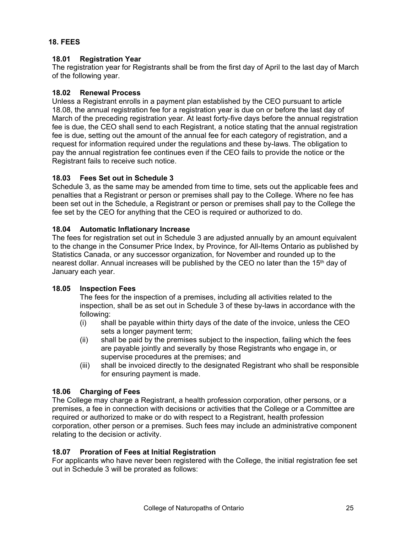### <span id="page-26-0"></span>**18. FEES**

### **18.01 Registration Year**

The registration year for Registrants shall be from the first day of April to the last day of March of the following year.

### **18.02 Renewal Process**

Unless a Registrant enrolls in a payment plan established by the CEO pursuant to article 18.08, the annual registration fee for a registration year is due on or before the last day of March of the preceding registration year. At least forty-five days before the annual registration fee is due, the CEO shall send to each Registrant, a notice stating that the annual registration fee is due, setting out the amount of the annual fee for each category of registration, and a request for information required under the regulations and these by-laws. The obligation to pay the annual registration fee continues even if the CEO fails to provide the notice or the Registrant fails to receive such notice.

### **18.03 Fees Set out in Schedule 3**

Schedule 3, as the same may be amended from time to time, sets out the applicable fees and penalties that a Registrant or person or premises shall pay to the College. Where no fee has been set out in the Schedule, a Registrant or person or premises shall pay to the College the fee set by the CEO for anything that the CEO is required or authorized to do.

### **18.04 Automatic Inflationary Increase**

The fees for registration set out in Schedule 3 are adjusted annually by an amount equivalent to the change in the Consumer Price Index, by Province, for All-Items Ontario as published by Statistics Canada, or any successor organization, for November and rounded up to the nearest dollar. Annual increases will be published by the CEO no later than the 15<sup>th</sup> day of January each year.

#### **18.05 Inspection Fees**

The fees for the inspection of a premises, including all activities related to the inspection, shall be as set out in Schedule 3 of these by-laws in accordance with the following:

- (i) shall be payable within thirty days of the date of the invoice, unless the CEO sets a longer payment term;
- (ii) shall be paid by the premises subject to the inspection, failing which the fees are payable jointly and severally by those Registrants who engage in, or supervise procedures at the premises; and
- (iii) shall be invoiced directly to the designated Registrant who shall be responsible for ensuring payment is made.

# **18.06 Charging of Fees**

The College may charge a Registrant, a health profession corporation, other persons, or a premises, a fee in connection with decisions or activities that the College or a Committee are required or authorized to make or do with respect to a Registrant, health profession corporation, other person or a premises. Such fees may include an administrative component relating to the decision or activity.

# **18.07 Proration of Fees at Initial Registration**

For applicants who have never been registered with the College, the initial registration fee set out in Schedule 3 will be prorated as follows: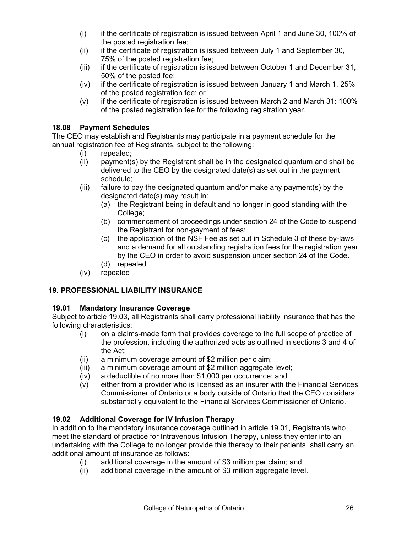- (i) if the certificate of registration is issued between April 1 and June 30, 100% of the posted registration fee:
- (ii) if the certificate of registration is issued between July 1 and September 30, 75% of the posted registration fee;
- (iii) if the certificate of registration is issued between October 1 and December 31, 50% of the posted fee;
- (iv) if the certificate of registration is issued between January 1 and March 1, 25% of the posted registration fee; or
- (v) if the certificate of registration is issued between March 2 and March 31: 100% of the posted registration fee for the following registration year.

#### **18.08 Payment Schedules**

The CEO may establish and Registrants may participate in a payment schedule for the annual registration fee of Registrants, subject to the following:

- (i) repealed;
- (ii) payment(s) by the Registrant shall be in the designated quantum and shall be delivered to the CEO by the designated date(s) as set out in the payment schedule;
- (iii) failure to pay the designated quantum and/or make any payment(s) by the designated date(s) may result in:
	- (a) the Registrant being in default and no longer in good standing with the College:
	- (b) commencement of proceedings under section 24 of the Code to suspend the Registrant for non-payment of fees;
	- (c) the application of the NSF Fee as set out in Schedule 3 of these by-laws and a demand for all outstanding registration fees for the registration year by the CEO in order to avoid suspension under section 24 of the Code.
	- (d) repealed
- (iv) repealed

#### <span id="page-27-0"></span>**19. PROFESSIONAL LIABILITY INSURANCE**

#### **19.01 Mandatory Insurance Coverage**

Subject to article 19.03, all Registrants shall carry professional liability insurance that has the following characteristics:

- (i) on a claims-made form that provides coverage to the full scope of practice of the profession, including the authorized acts as outlined in sections 3 and 4 of the Act;
- (ii) a minimum coverage amount of \$2 million per claim;
- (iii) a minimum coverage amount of \$2 million aggregate level;
- (iv) a deductible of no more than \$1,000 per occurrence; and
- (v) either from a provider who is licensed as an insurer with the Financial Services Commissioner of Ontario or a body outside of Ontario that the CEO considers substantially equivalent to the Financial Services Commissioner of Ontario.

# **19.02 Additional Coverage for IV Infusion Therapy**

In addition to the mandatory insurance coverage outlined in article 19.01, Registrants who meet the standard of practice for Intravenous Infusion Therapy, unless they enter into an undertaking with the College to no longer provide this therapy to their patients, shall carry an additional amount of insurance as follows:

- (i) additional coverage in the amount of \$3 million per claim; and
- additional coverage in the amount of \$3 million aggregate level.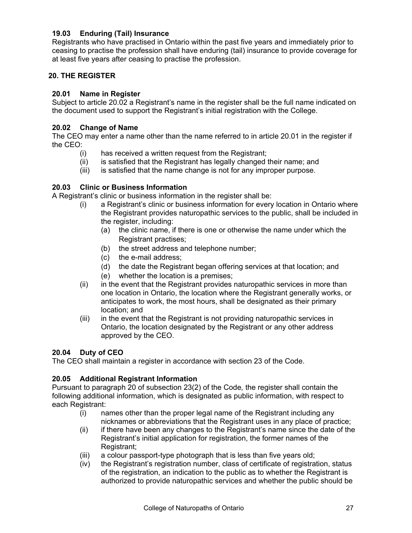### **19.03 Enduring (Tail) Insurance**

Registrants who have practised in Ontario within the past five years and immediately prior to ceasing to practise the profession shall have enduring (tail) insurance to provide coverage for at least five years after ceasing to practise the profession.

### <span id="page-28-0"></span>**20. THE REGISTER**

#### **20.01 Name in Register**

Subject to article 20.02 a Registrant's name in the register shall be the full name indicated on the document used to support the Registrant's initial registration with the College.

#### **20.02 Change of Name**

The CEO may enter a name other than the name referred to in article 20.01 in the register if the CEO:

- (i) has received a written request from the Registrant;
- (ii) is satisfied that the Registrant has legally changed their name; and
- (iii) is satisfied that the name change is not for any improper purpose.

#### **20.03 Clinic or Business Information**

A Registrant's clinic or business information in the register shall be:

- (i) a Registrant's clinic or business information for every location in Ontario where the Registrant provides naturopathic services to the public, shall be included in the register, including:
	- (a) the clinic name, if there is one or otherwise the name under which the Registrant practises;
	- (b) the street address and telephone number;
	- (c) the e-mail address;
	- (d) the date the Registrant began offering services at that location; and
	- (e) whether the location is a premises;
- (ii) in the event that the Registrant provides naturopathic services in more than one location in Ontario, the location where the Registrant generally works, or anticipates to work, the most hours, shall be designated as their primary location; and
- (iii) in the event that the Registrant is not providing naturopathic services in Ontario, the location designated by the Registrant or any other address approved by the CEO.

#### **20.04 Duty of CEO**

The CEO shall maintain a register in accordance with section 23 of the Code.

#### **20.05 Additional Registrant Information**

Pursuant to paragraph 20 of subsection 23(2) of the Code*,* the register shall contain the following additional information, which is designated as public information, with respect to each Registrant:

- (i) names other than the proper legal name of the Registrant including any nicknames or abbreviations that the Registrant uses in any place of practice;
- (ii) if there have been any changes to the Registrant's name since the date of the Registrant's initial application for registration, the former names of the Registrant;
- (iii) a colour passport-type photograph that is less than five years old;
- (iv) the Registrant's registration number, class of certificate of registration, status of the registration, an indication to the public as to whether the Registrant is authorized to provide naturopathic services and whether the public should be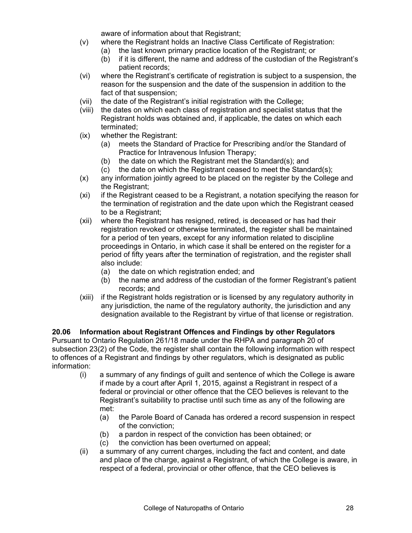aware of information about that Registrant;

- (v) where the Registrant holds an Inactive Class Certificate of Registration:
	- (a) the last known primary practice location of the Registrant; or
	- (b) if it is different, the name and address of the custodian of the Registrant's patient records;
- (vi) where the Registrant's certificate of registration is subject to a suspension, the reason for the suspension and the date of the suspension in addition to the fact of that suspension;
- (vii) the date of the Registrant's initial registration with the College;
- (viii) the dates on which each class of registration and specialist status that the Registrant holds was obtained and, if applicable, the dates on which each terminated;
- (ix) whether the Registrant:
	- (a) meets the Standard of Practice for Prescribing and/or the Standard of Practice for Intravenous Infusion Therapy;
	- (b) the date on which the Registrant met the Standard(s); and
	- (c) the date on which the Registrant ceased to meet the Standard(s);
- (x) any information jointly agreed to be placed on the register by the College and the Registrant;
- (xi) if the Registrant ceased to be a Registrant, a notation specifying the reason for the termination of registration and the date upon which the Registrant ceased to be a Registrant;
- (xii) where the Registrant has resigned, retired, is deceased or has had their registration revoked or otherwise terminated, the register shall be maintained for a period of ten years, except for any information related to discipline proceedings in Ontario, in which case it shall be entered on the register for a period of fifty years after the termination of registration, and the register shall also include:
	- (a) the date on which registration ended; and
	- (b) the name and address of the custodian of the former Registrant's patient records; and
- (xiii) if the Registrant holds registration or is licensed by any regulatory authority in any jurisdiction, the name of the regulatory authority, the jurisdiction and any designation available to the Registrant by virtue of that license or registration.

#### **20.06 Information about Registrant Offences and Findings by other Regulators**

Pursuant to Ontario Regulation 261/18 made under the RHPA and paragraph 20 of subsection 23(2) of the Code*,* the register shall contain the following information with respect to offences of a Registrant and findings by other regulators, which is designated as public information:

- (i) a summary of any findings of guilt and sentence of which the College is aware if made by a court after April 1, 2015, against a Registrant in respect of a federal or provincial or other offence that the CEO believes is relevant to the Registrant's suitability to practise until such time as any of the following are met:
	- (a) the Parole Board of Canada has ordered a record suspension in respect of the conviction;
	- (b) a pardon in respect of the conviction has been obtained; or
	- (c) the conviction has been overturned on appeal;
- (ii) a summary of any current charges, including the fact and content, and date and place of the charge, against a Registrant, of which the College is aware, in respect of a federal, provincial or other offence, that the CEO believes is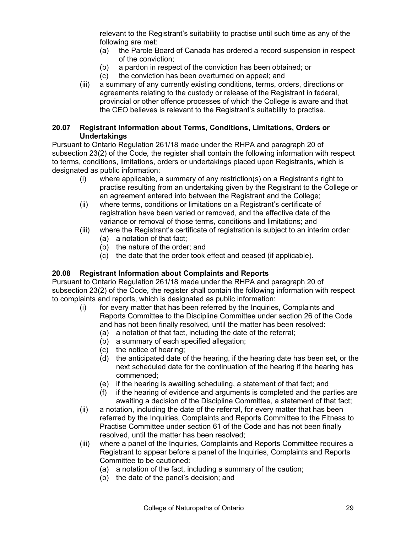relevant to the Registrant's suitability to practise until such time as any of the following are met:

- (a) the Parole Board of Canada has ordered a record suspension in respect of the conviction;
- (b) a pardon in respect of the conviction has been obtained; or
- (c) the conviction has been overturned on appeal; and
- (iii) a summary of any currently existing conditions, terms, orders, directions or agreements relating to the custody or release of the Registrant in federal, provincial or other offence processes of which the College is aware and that the CEO believes is relevant to the Registrant's suitability to practise.

#### **20.07 Registrant Information about Terms, Conditions, Limitations, Orders or Undertakings**

Pursuant to Ontario Regulation 261/18 made under the RHPA and paragraph 20 of subsection 23(2) of the Code*,* the register shall contain the following information with respect to terms, conditions, limitations, orders or undertakings placed upon Registrants, which is designated as public information:

- (i) where applicable, a summary of any restriction(s) on a Registrant's right to practise resulting from an undertaking given by the Registrant to the College or an agreement entered into between the Registrant and the College;
- (ii) where terms, conditions or limitations on a Registrant's certificate of registration have been varied or removed, and the effective date of the variance or removal of those terms, conditions and limitations; and
- (iii) where the Registrant's certificate of registration is subject to an interim order:
	- (a) a notation of that fact;
	- (b) the nature of the order; and
	- (c) the date that the order took effect and ceased (if applicable).

#### **20.08 Registrant Information about Complaints and Reports**

Pursuant to Ontario Regulation 261/18 made under the RHPA and paragraph 20 of subsection 23(2) of the Code*,* the register shall contain the following information with respect to complaints and reports, which is designated as public information:

- (i) for every matter that has been referred by the Inquiries, Complaints and Reports Committee to the Discipline Committee under section 26 of the Code and has not been finally resolved, until the matter has been resolved:
	- (a) a notation of that fact, including the date of the referral;
	- (b) a summary of each specified allegation;
	- (c) the notice of hearing;
	- (d) the anticipated date of the hearing, if the hearing date has been set, or the next scheduled date for the continuation of the hearing if the hearing has commenced;
	- (e) if the hearing is awaiting scheduling, a statement of that fact; and
	- (f) if the hearing of evidence and arguments is completed and the parties are awaiting a decision of the Discipline Committee, a statement of that fact;
- (ii) a notation, including the date of the referral, for every matter that has been referred by the Inquiries, Complaints and Reports Committee to the Fitness to Practise Committee under section 61 of the Code and has not been finally resolved, until the matter has been resolved;
- (iii) where a panel of the Inquiries, Complaints and Reports Committee requires a Registrant to appear before a panel of the Inquiries, Complaints and Reports Committee to be cautioned:
	- (a) a notation of the fact, including a summary of the caution;
	- (b) the date of the panel's decision; and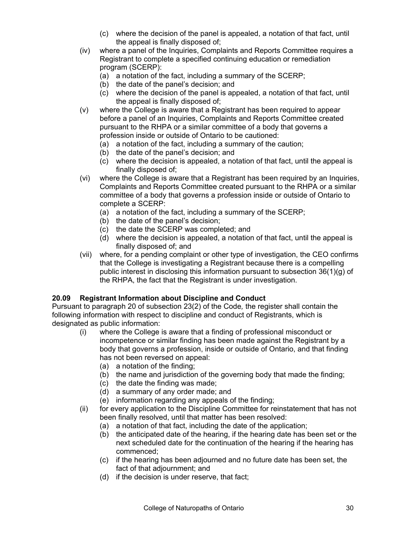- (c) where the decision of the panel is appealed, a notation of that fact, until the appeal is finally disposed of;
- (iv) where a panel of the Inquiries, Complaints and Reports Committee requires a Registrant to complete a specified continuing education or remediation program (SCERP):
	- (a) a notation of the fact, including a summary of the SCERP;
	- (b) the date of the panel's decision; and
	- (c) where the decision of the panel is appealed, a notation of that fact, until the appeal is finally disposed of;
- (v) where the College is aware that a Registrant has been required to appear before a panel of an Inquiries, Complaints and Reports Committee created pursuant to the RHPA or a similar committee of a body that governs a profession inside or outside of Ontario to be cautioned:
	- (a) a notation of the fact, including a summary of the caution;
	- (b) the date of the panel's decision; and
	- (c) where the decision is appealed, a notation of that fact, until the appeal is finally disposed of;
- (vi) where the College is aware that a Registrant has been required by an Inquiries, Complaints and Reports Committee created pursuant to the RHPA or a similar committee of a body that governs a profession inside or outside of Ontario to complete a SCERP:
	- (a) a notation of the fact, including a summary of the SCERP;
	- (b) the date of the panel's decision;
	- (c) the date the SCERP was completed; and
	- (d) where the decision is appealed, a notation of that fact, until the appeal is finally disposed of; and
- (vii) where, for a pending complaint or other type of investigation, the CEO confirms that the College is investigating a Registrant because there is a compelling public interest in disclosing this information pursuant to subsection 36(1)(g) of the RHPA, the fact that the Registrant is under investigation.

#### **20.09 Registrant Information about Discipline and Conduct**

Pursuant to paragraph 20 of subsection 23(2) of the Code*,* the register shall contain the following information with respect to discipline and conduct of Registrants, which is designated as public information:

- (i) where the College is aware that a finding of professional misconduct or incompetence or similar finding has been made against the Registrant by a body that governs a profession, inside or outside of Ontario, and that finding has not been reversed on appeal:
	- (a) a notation of the finding;
	- (b) the name and jurisdiction of the governing body that made the finding;
	- (c) the date the finding was made;
	- (d) a summary of any order made; and
	- (e) information regarding any appeals of the finding;
- (ii) for every application to the Discipline Committee for reinstatement that has not been finally resolved, until that matter has been resolved:
	- (a) a notation of that fact, including the date of the application;
	- (b) the anticipated date of the hearing, if the hearing date has been set or the next scheduled date for the continuation of the hearing if the hearing has commenced;
	- (c) if the hearing has been adjourned and no future date has been set, the fact of that adjournment; and
	- (d) if the decision is under reserve, that fact;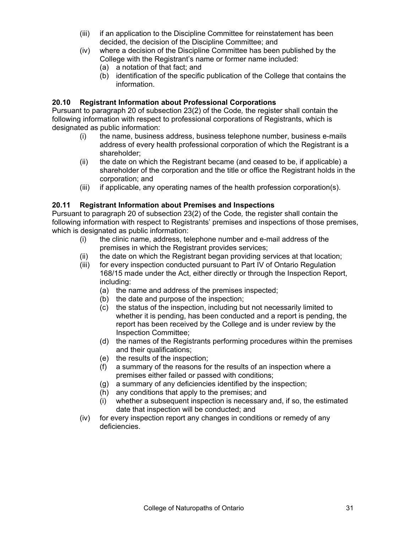- (iii) if an application to the Discipline Committee for reinstatement has been decided, the decision of the Discipline Committee; and
- (iv) where a decision of the Discipline Committee has been published by the College with the Registrant's name or former name included:
	- (a) a notation of that fact; and
	- (b) identification of the specific publication of the College that contains the information.

### **20.10 Registrant Information about Professional Corporations**

Pursuant to paragraph 20 of subsection 23(2) of the Code*,* the register shall contain the following information with respect to professional corporations of Registrants, which is designated as public information:

- (i) the name, business address, business telephone number, business e-mails address of every health professional corporation of which the Registrant is a shareholder;
- (ii) the date on which the Registrant became (and ceased to be, if applicable) a shareholder of the corporation and the title or office the Registrant holds in the corporation; and
- (iii) if applicable, any operating names of the health profession corporation(s).

### **20.11 Registrant Information about Premises and Inspections**

Pursuant to paragraph 20 of subsection 23(2) of the Code*,* the register shall contain the following information with respect to Registrants' premises and inspections of those premises, which is designated as public information:

- (i) the clinic name, address, telephone number and e-mail address of the premises in which the Registrant provides services;
- (ii) the date on which the Registrant began providing services at that location;
- (iii) for every inspection conducted pursuant to Part IV of Ontario Regulation 168/15 made under the Act, either directly or through the Inspection Report, including:
	- (a) the name and address of the premises inspected;
	- (b) the date and purpose of the inspection;
	- (c) the status of the inspection, including but not necessarily limited to whether it is pending, has been conducted and a report is pending, the report has been received by the College and is under review by the Inspection Committee;
	- (d) the names of the Registrants performing procedures within the premises and their qualifications;
	- (e) the results of the inspection;
	- (f) a summary of the reasons for the results of an inspection where a premises either failed or passed with conditions;
	- (g) a summary of any deficiencies identified by the inspection;
	- (h) any conditions that apply to the premises; and
	- (i) whether a subsequent inspection is necessary and, if so, the estimated date that inspection will be conducted; and
- (iv) for every inspection report any changes in conditions or remedy of any deficiencies.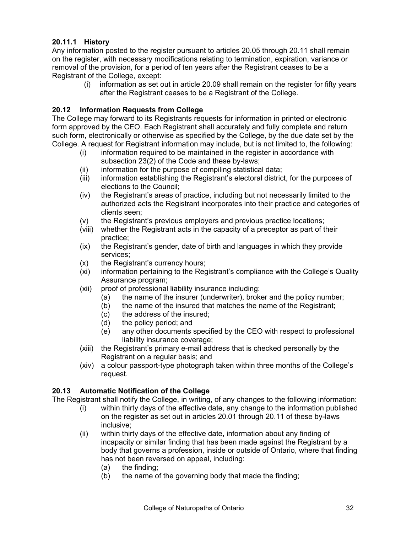# **20.11.1 History**

Any information posted to the register pursuant to articles 20.05 through 20.11 shall remain on the register, with necessary modifications relating to termination, expiration, variance or removal of the provision, for a period of ten years after the Registrant ceases to be a Registrant of the College, except:

(i) information as set out in article 20.09 shall remain on the register for fifty years after the Registrant ceases to be a Registrant of the College.

#### **20.12 Information Requests from College**

The College may forward to its Registrants requests for information in printed or electronic form approved by the CEO. Each Registrant shall accurately and fully complete and return such form, electronically or otherwise as specified by the College, by the due date set by the College. A request for Registrant information may include, but is not limited to, the following:

- (i) information required to be maintained in the register in accordance with subsection 23(2) of the Code and these by-laws;
- (ii) information for the purpose of compiling statistical data;
- (iii) information establishing the Registrant's electoral district, for the purposes of elections to the Council;
- (iv) the Registrant's areas of practice, including but not necessarily limited to the authorized acts the Registrant incorporates into their practice and categories of clients seen;
- (v) the Registrant's previous employers and previous practice locations;
- (viii) whether the Registrant acts in the capacity of a preceptor as part of their practice;
- (ix) the Registrant's gender, date of birth and languages in which they provide services;
- (x) the Registrant's currency hours;
- (xi) information pertaining to the Registrant's compliance with the College's Quality Assurance program;
- (xii) proof of professional liability insurance including:
	- (a) the name of the insurer (underwriter), broker and the policy number;
	- (b) the name of the insured that matches the name of the Registrant;
	- (c) the address of the insured;
	- (d) the policy period; and
	- (e) any other documents specified by the CEO with respect to professional liability insurance coverage;
- (xiii) the Registrant's primary e-mail address that is checked personally by the Registrant on a regular basis; and
- (xiv) a colour passport-type photograph taken within three months of the College's request.

#### **20.13 Automatic Notification of the College**

The Registrant shall notify the College, in writing, of any changes to the following information:

- (i) within thirty days of the effective date, any change to the information published on the register as set out in articles 20.01 through 20.11 of these by-laws inclusive;
- (ii) within thirty days of the effective date, information about any finding of incapacity or similar finding that has been made against the Registrant by a body that governs a profession, inside or outside of Ontario, where that finding has not been reversed on appeal, including:
	- (a) the finding;
	- (b) the name of the governing body that made the finding;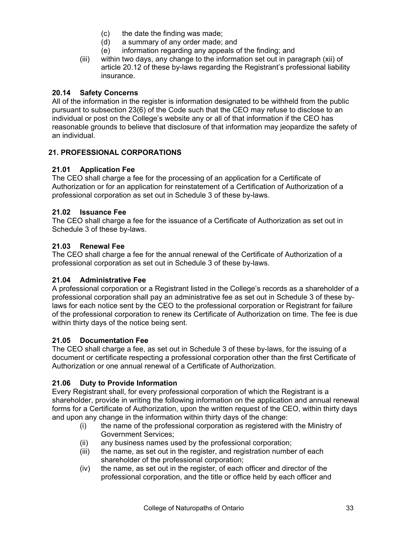- (c) the date the finding was made;
- (d) a summary of any order made; and
- (e) information regarding any appeals of the finding; and
- (iii) within two days, any change to the information set out in paragraph (xii) of article 20.12 of these by-laws regarding the Registrant's professional liability insurance.

#### **20.14 Safety Concerns**

All of the information in the register is information designated to be withheld from the public pursuant to subsection 23(6) of the Code such that the CEO may refuse to disclose to an individual or post on the College's website any or all of that information if the CEO has reasonable grounds to believe that disclosure of that information may jeopardize the safety of an individual.

### <span id="page-34-0"></span>**21. PROFESSIONAL CORPORATIONS**

#### **21.01 Application Fee**

The CEO shall charge a fee for the processing of an application for a Certificate of Authorization or for an application for reinstatement of a Certification of Authorization of a professional corporation as set out in Schedule 3 of these by-laws.

#### **21.02 Issuance Fee**

The CEO shall charge a fee for the issuance of a Certificate of Authorization as set out in Schedule 3 of these by-laws.

#### **21.03 Renewal Fee**

The CEO shall charge a fee for the annual renewal of the Certificate of Authorization of a professional corporation as set out in Schedule 3 of these by-laws.

#### **21.04 Administrative Fee**

A professional corporation or a Registrant listed in the College's records as a shareholder of a professional corporation shall pay an administrative fee as set out in Schedule 3 of these bylaws for each notice sent by the CEO to the professional corporation or Registrant for failure of the professional corporation to renew its Certificate of Authorization on time. The fee is due within thirty days of the notice being sent.

#### **21.05 Documentation Fee**

The CEO shall charge a fee, as set out in Schedule 3 of these by-laws, for the issuing of a document or certificate respecting a professional corporation other than the first Certificate of Authorization or one annual renewal of a Certificate of Authorization.

#### **21.06 Duty to Provide Information**

Every Registrant shall, for every professional corporation of which the Registrant is a shareholder, provide in writing the following information on the application and annual renewal forms for a Certificate of Authorization, upon the written request of the CEO, within thirty days and upon any change in the information within thirty days of the change:

- (i) the name of the professional corporation as registered with the Ministry of Government Services;
- (ii) any business names used by the professional corporation;
- (iii) the name, as set out in the register, and registration number of each shareholder of the professional corporation;
- (iv) the name, as set out in the register, of each officer and director of the professional corporation, and the title or office held by each officer and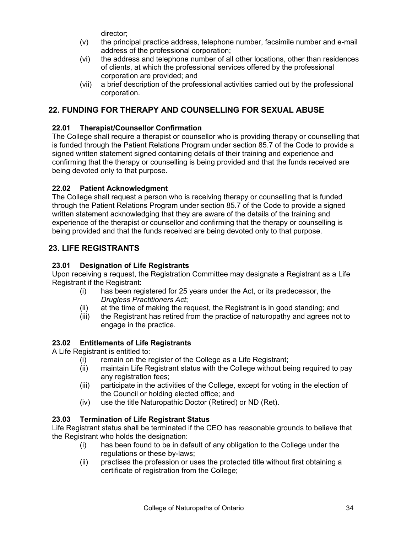director;

- (v) the principal practice address, telephone number, facsimile number and e-mail address of the professional corporation;
- (vi) the address and telephone number of all other locations, other than residences of clients, at which the professional services offered by the professional corporation are provided; and
- (vii) a brief description of the professional activities carried out by the professional corporation.

# <span id="page-35-0"></span>**22. FUNDING FOR THERAPY AND COUNSELLING FOR SEXUAL ABUSE**

# **22.01 Therapist/Counsellor Confirmation**

The College shall require a therapist or counsellor who is providing therapy or counselling that is funded through the Patient Relations Program under section 85.7 of the Code to provide a signed written statement signed containing details of their training and experience and confirming that the therapy or counselling is being provided and that the funds received are being devoted only to that purpose.

# **22.02 Patient Acknowledgment**

The College shall request a person who is receiving therapy or counselling that is funded through the Patient Relations Program under section 85.7 of the Code to provide a signed written statement acknowledging that they are aware of the details of the training and experience of the therapist or counsellor and confirming that the therapy or counselling is being provided and that the funds received are being devoted only to that purpose.

# <span id="page-35-1"></span>**23. LIFE REGISTRANTS**

# **23.01 Designation of Life Registrants**

Upon receiving a request, the Registration Committee may designate a Registrant as a Life Registrant if the Registrant:

- (i) has been registered for 25 years under the Act, or its predecessor, the *Drugless Practitioners Act*;
- (ii) at the time of making the request, the Registrant is in good standing; and
- (iii) the Registrant has retired from the practice of naturopathy and agrees not to engage in the practice.

# **23.02 Entitlements of Life Registrants**

A Life Registrant is entitled to:

- (i) remain on the register of the College as a Life Registrant;
- (ii) maintain Life Registrant status with the College without being required to pay any registration fees;
- (iii) participate in the activities of the College, except for voting in the election of the Council or holding elected office; and
- (iv) use the title Naturopathic Doctor (Retired) or ND (Ret).

# **23.03 Termination of Life Registrant Status**

Life Registrant status shall be terminated if the CEO has reasonable grounds to believe that the Registrant who holds the designation:

- (i) has been found to be in default of any obligation to the College under the regulations or these by-laws;
- (ii) practises the profession or uses the protected title without first obtaining a certificate of registration from the College;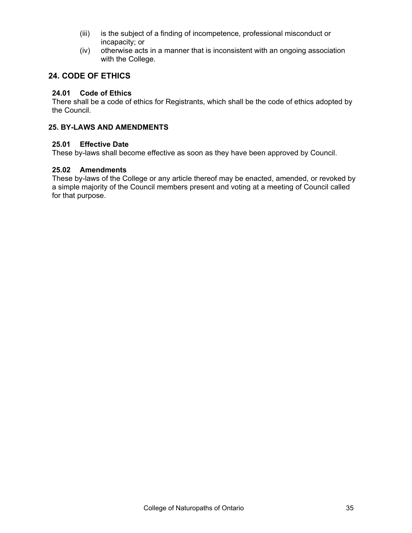- (iii) is the subject of a finding of incompetence, professional misconduct or incapacity; or
- (iv) otherwise acts in a manner that is inconsistent with an ongoing association with the College.

# <span id="page-36-0"></span>**24. CODE OF ETHICS**

#### **24.01 Code of Ethics**

There shall be a code of ethics for Registrants, which shall be the code of ethics adopted by the Council.

#### <span id="page-36-1"></span>**25. BY-LAWS AND AMENDMENTS**

#### **25.01 Effective Date**

These by-laws shall become effective as soon as they have been approved by Council.

#### **25.02 Amendments**

These by-laws of the College or any article thereof may be enacted, amended, or revoked by a simple majority of the Council members present and voting at a meeting of Council called for that purpose.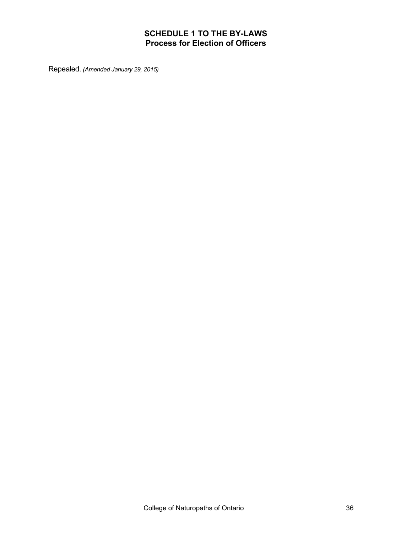# **SCHEDULE 1 TO THE BY-LAWS Process for Election of Officers**

<span id="page-37-0"></span>Repealed. *(Amended January 29, 2015)*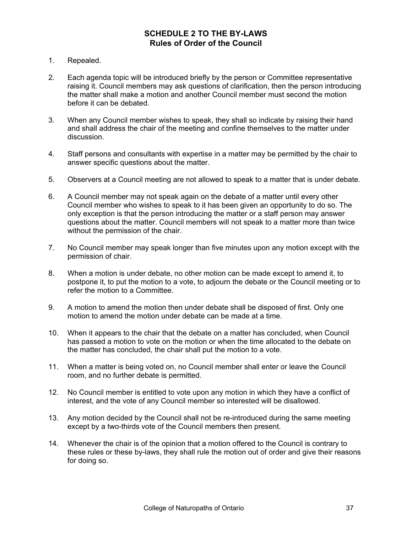# **SCHEDULE 2 TO THE BY-LAWS Rules of Order of the Council**

- <span id="page-38-0"></span>1. Repealed.
- 2. Each agenda topic will be introduced briefly by the person or Committee representative raising it. Council members may ask questions of clarification, then the person introducing the matter shall make a motion and another Council member must second the motion before it can be debated.
- 3. When any Council member wishes to speak, they shall so indicate by raising their hand and shall address the chair of the meeting and confine themselves to the matter under discussion.
- 4. Staff persons and consultants with expertise in a matter may be permitted by the chair to answer specific questions about the matter.
- 5. Observers at a Council meeting are not allowed to speak to a matter that is under debate.
- 6. A Council member may not speak again on the debate of a matter until every other Council member who wishes to speak to it has been given an opportunity to do so. The only exception is that the person introducing the matter or a staff person may answer questions about the matter. Council members will not speak to a matter more than twice without the permission of the chair.
- 7. No Council member may speak longer than five minutes upon any motion except with the permission of chair.
- 8. When a motion is under debate, no other motion can be made except to amend it, to postpone it, to put the motion to a vote, to adjourn the debate or the Council meeting or to refer the motion to a Committee.
- 9. A motion to amend the motion then under debate shall be disposed of first. Only one motion to amend the motion under debate can be made at a time.
- 10. When it appears to the chair that the debate on a matter has concluded, when Council has passed a motion to vote on the motion or when the time allocated to the debate on the matter has concluded, the chair shall put the motion to a vote.
- 11. When a matter is being voted on, no Council member shall enter or leave the Council room, and no further debate is permitted.
- 12. No Council member is entitled to vote upon any motion in which they have a conflict of interest, and the vote of any Council member so interested will be disallowed.
- 13. Any motion decided by the Council shall not be re-introduced during the same meeting except by a two-thirds vote of the Council members then present.
- 14. Whenever the chair is of the opinion that a motion offered to the Council is contrary to these rules or these by-laws, they shall rule the motion out of order and give their reasons for doing so.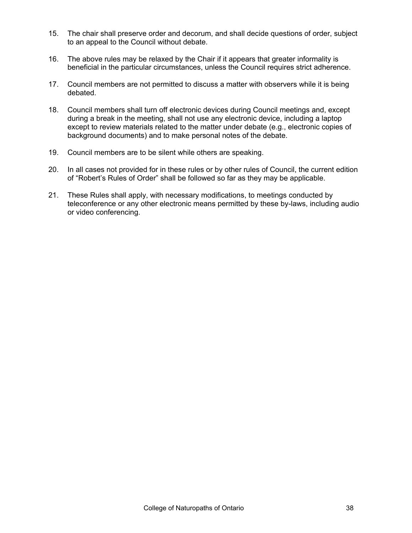- 15. The chair shall preserve order and decorum, and shall decide questions of order, subject to an appeal to the Council without debate.
- 16. The above rules may be relaxed by the Chair if it appears that greater informality is beneficial in the particular circumstances, unless the Council requires strict adherence.
- 17. Council members are not permitted to discuss a matter with observers while it is being debated.
- 18. Council members shall turn off electronic devices during Council meetings and, except during a break in the meeting, shall not use any electronic device, including a laptop except to review materials related to the matter under debate (e.g., electronic copies of background documents) and to make personal notes of the debate.
- 19. Council members are to be silent while others are speaking.
- 20. In all cases not provided for in these rules or by other rules of Council, the current edition of "Robert's Rules of Order" shall be followed so far as they may be applicable.
- 21. These Rules shall apply, with necessary modifications, to meetings conducted by teleconference or any other electronic means permitted by these by-laws, including audio or video conferencing.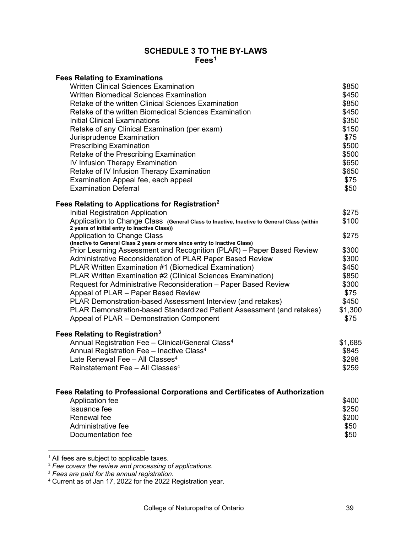#### **SCHEDULE 3 TO THE BY-LAWS Fees[1](#page-40-1)**

<span id="page-40-0"></span>

| <b>Fees Relating to Examinations</b>                                                                                                               |         |
|----------------------------------------------------------------------------------------------------------------------------------------------------|---------|
| <b>Written Clinical Sciences Examination</b>                                                                                                       | \$850   |
| <b>Written Biomedical Sciences Examination</b>                                                                                                     | \$450   |
| Retake of the written Clinical Sciences Examination                                                                                                | \$850   |
| Retake of the written Biomedical Sciences Examination                                                                                              | \$450   |
| Initial Clinical Examinations                                                                                                                      | \$350   |
| Retake of any Clinical Examination (per exam)                                                                                                      | \$150   |
| Jurisprudence Examination                                                                                                                          | \$75    |
| <b>Prescribing Examination</b>                                                                                                                     | \$500   |
| Retake of the Prescribing Examination                                                                                                              | \$500   |
| IV Infusion Therapy Examination                                                                                                                    | \$650   |
| Retake of IV Infusion Therapy Examination                                                                                                          | \$650   |
| Examination Appeal fee, each appeal                                                                                                                | \$75    |
| <b>Examination Deferral</b>                                                                                                                        | \$50    |
| Fees Relating to Applications for Registration <sup>2</sup>                                                                                        |         |
| Initial Registration Application                                                                                                                   | \$275   |
| Application to Change Class (General Class to Inactive, Inactive to General Class (within                                                          | \$100   |
| 2 years of initial entry to Inactive Class))                                                                                                       |         |
| <b>Application to Change Class</b>                                                                                                                 | \$275   |
| (Inactive to General Class 2 years or more since entry to Inactive Class)<br>Prior Learning Assessment and Recognition (PLAR) - Paper Based Review | \$300   |
| Administrative Reconsideration of PLAR Paper Based Review                                                                                          | \$300   |
| PLAR Written Examination #1 (Biomedical Examination)                                                                                               | \$450   |
| PLAR Written Examination #2 (Clinical Sciences Examination)                                                                                        | \$850   |
| Request for Administrative Reconsideration - Paper Based Review                                                                                    | \$300   |
| Appeal of PLAR - Paper Based Review                                                                                                                | \$75    |
| PLAR Demonstration-based Assessment Interview (and retakes)                                                                                        | \$450   |
| PLAR Demonstration-based Standardized Patient Assessment (and retakes)                                                                             | \$1,300 |
| Appeal of PLAR - Demonstration Component                                                                                                           | \$75    |
|                                                                                                                                                    |         |
| Fees Relating to Registration <sup>3</sup>                                                                                                         |         |
| Annual Registration Fee - Clinical/General Class <sup>4</sup>                                                                                      | \$1,685 |
| Annual Registration Fee - Inactive Class <sup>4</sup>                                                                                              | \$845   |
| Late Renewal Fee - All Classes <sup>4</sup>                                                                                                        | \$298   |
| Reinstatement Fee - All Classes <sup>4</sup>                                                                                                       | \$259   |
|                                                                                                                                                    |         |
| Fees Relating to Professional Corporations and Certificates of Authorization<br>Application fee                                                    | \$400   |
| Issuance fee                                                                                                                                       | \$250   |
| Renewal fee                                                                                                                                        | \$200   |
| Administrative fee                                                                                                                                 | \$50    |
| Documentation fee                                                                                                                                  | \$50    |
|                                                                                                                                                    |         |
|                                                                                                                                                    |         |

<span id="page-40-2"></span><span id="page-40-1"></span> $<sup>1</sup>$  All fees are subject to applicable taxes.</sup>

<sup>2</sup> *Fee covers the review and processing of applications.*

<span id="page-40-3"></span><sup>3</sup> *Fees are paid for the annual registration.*

<span id="page-40-4"></span> $4$  Current as of Jan 17, 2022 for the 2022 Registration year.